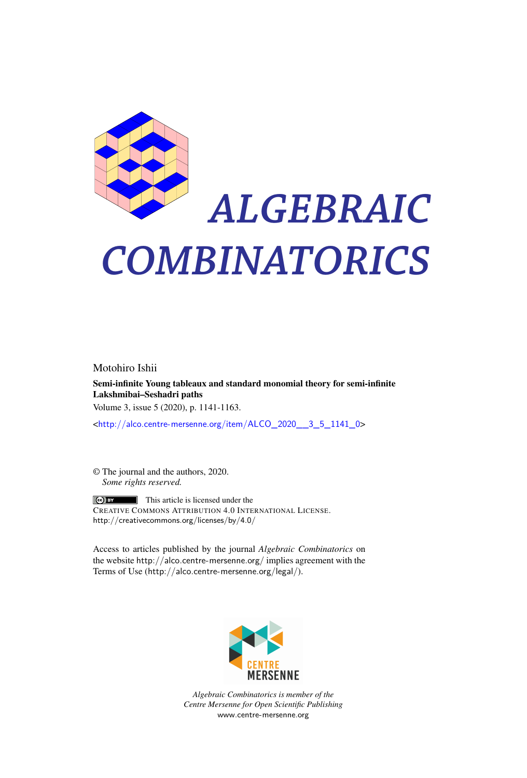

# *ALGEBRAIC COMBINATORICS*

Motohiro Ishii Semi-infinite Young tableaux and standard monomial theory for semi-infinite Lakshmibai–Seshadri paths Volume 3, issue 5 (2020), p. 1141-1163.

<[http://alco.centre-mersenne.org/item/ALCO\\_2020\\_\\_3\\_5\\_1141\\_0](http://alco.centre-mersenne.org/item/ALCO_2020__3_5_1141_0)>

© The journal and the authors, 2020. *Some rights reserved.*

 $\Theta$  BY This article is licensed under the CREATIVE COMMONS ATTRIBUTION 4.0 INTERNATIONAL LICENSE. <http://creativecommons.org/licenses/by/4.0/>

Access to articles published by the journal *Algebraic Combinatorics* on the website <http://alco.centre-mersenne.org/> implies agreement with the Terms of Use (<http://alco.centre-mersenne.org/legal/>).



*Algebraic Combinatorics is member of the Centre Mersenne for Open Scientific Publishing* <www.centre-mersenne.org>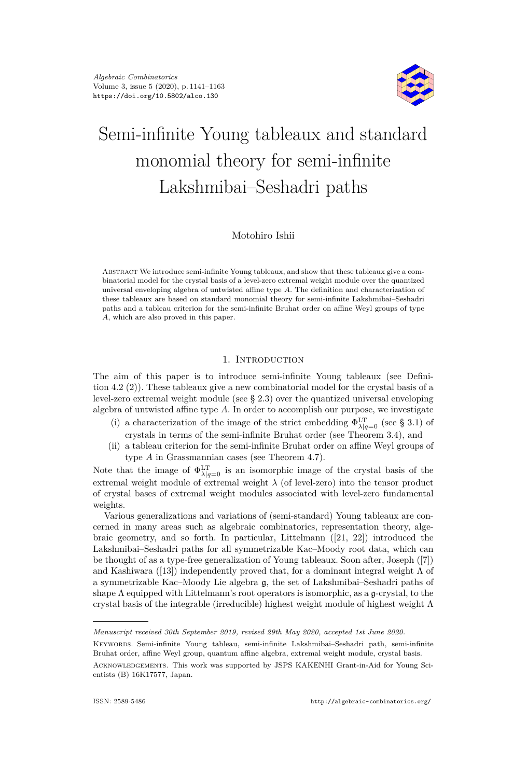

# Semi-infinite Young tableaux and standard monomial theory for semi-infinite Lakshmibai–Seshadri paths

# Motohiro Ishii

Abstract We introduce semi-infinite Young tableaux, and show that these tableaux give a combinatorial model for the crystal basis of a level-zero extremal weight module over the quantized universal enveloping algebra of untwisted affine type *A*. The definition and characterization of these tableaux are based on standard monomial theory for semi-infinite Lakshmibai–Seshadri paths and a tableau criterion for the semi-infinite Bruhat order on affine Weyl groups of type *A*, which are also proved in this paper.

# 1. INTRODUCTION

The aim of this paper is to introduce semi-infinite Young tableaux (see Definition [4.2](#page-15-0) [\(2\)\)](#page-15-1). These tableaux give a new combinatorial model for the crystal basis of a level-zero extremal weight module (see § [2.3\)](#page-6-0) over the quantized universal enveloping algebra of untwisted affine type *A*. In order to accomplish our purpose, we investigate

- (i) a characterization of the image of the strict embedding  $\Phi^{\text{LT}}_{\lambda|q=0}$  (see § [3.1\)](#page-10-0) of crystals in terms of the semi-infinite Bruhat order (see Theorem [3.4\)](#page-12-0), and
- (ii) a tableau criterion for the semi-infinite Bruhat order on affine Weyl groups of type *A* in Grassmannian cases (see Theorem [4.7\)](#page-16-0).

Note that the image of  $\Phi_{\lambda|q=0}^{\text{LT}}$  is an isomorphic image of the crystal basis of the extremal weight module of extremal weight  $\lambda$  (of level-zero) into the tensor product of crystal bases of extremal weight modules associated with level-zero fundamental weights.

Various generalizations and variations of (semi-standard) Young tableaux are concerned in many areas such as algebraic combinatorics, representation theory, algebraic geometry, and so forth. In particular, Littelmann ([\[21,](#page-23-0) [22\]](#page-23-1)) introduced the Lakshmibai–Seshadri paths for all symmetrizable Kac–Moody root data, which can be thought of as a type-free generalization of Young tableaux. Soon after, Joseph ([\[7\]](#page-22-0)) and Kashiwara ([\[13\]](#page-23-2)) independently proved that, for a dominant integral weight  $\Lambda$  of a symmetrizable Kac–Moody Lie algebra g, the set of Lakshmibai–Seshadri paths of shape  $\Lambda$  equipped with Littelmann's root operators is isomorphic, as a  $\mathfrak{g}$ -crystal, to the crystal basis of the integrable (irreducible) highest weight module of highest weight  $\Lambda$ 

*Manuscript received 30th September 2019, revised 29th May 2020, accepted 1st June 2020.*

Keywords. Semi-infinite Young tableau, semi-infinite Lakshmibai–Seshadri path, semi-infinite Bruhat order, affine Weyl group, quantum affine algebra, extremal weight module, crystal basis.

Acknowledgements. This work was supported by JSPS KAKENHI Grant-in-Aid for Young Scientists (B) 16K17577, Japan.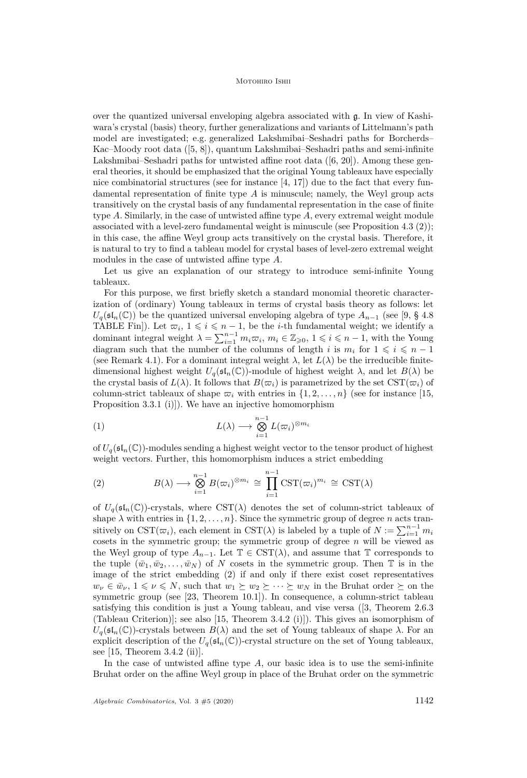over the quantized universal enveloping algebra associated with g. In view of Kashiwara's crystal (basis) theory, further generalizations and variants of Littelmann's path model are investigated; e.g. generalized Lakshmibai–Seshadri paths for Borcherds– Kac–Moody root data ([\[5,](#page-22-1) [8\]](#page-22-2)), quantum Lakshmibai–Seshadri paths and semi-infinite Lakshmibai–Seshadri paths for untwisted affine root data ([\[6,](#page-22-3) [20\]](#page-23-3)). Among these general theories, it should be emphasized that the original Young tableaux have especially nice combinatorial structures (see for instance  $[4, 17]$  $[4, 17]$  $[4, 17]$ ) due to the fact that every fundamental representation of finite type *A* is minuscule; namely, the Weyl group acts transitively on the crystal basis of any fundamental representation in the case of finite type *A*. Similarly, in the case of untwisted affine type *A*, every extremal weight module associated with a level-zero fundamental weight is minuscule (see Proposition [4.3](#page-16-1) [\(2\)\)](#page-16-2); in this case, the affine Weyl group acts transitively on the crystal basis. Therefore, it is natural to try to find a tableau model for crystal bases of level-zero extremal weight modules in the case of untwisted affine type *A*.

Let us give an explanation of our strategy to introduce semi-infinite Young tableaux.

For this purpose, we first briefly sketch a standard monomial theoretic characterization of (ordinary) Young tableaux in terms of crystal basis theory as follows: let  $U_q(\mathfrak{sl}_n(\mathbb{C}))$  be the quantized universal enveloping algebra of type  $A_{n-1}$  (see [\[9,](#page-22-5) § 4.8] TABLE Fin]). Let  $\overline{\omega}_i$ ,  $1 \leq i \leq n-1$ , be the *i*-th fundamental weight; we identify a dominant integral weight  $\lambda = \sum_{i=1}^{n-1} m_i \varpi_i$ ,  $m_i \in \mathbb{Z}_{\geqslant 0}$ ,  $1 \leqslant i \leqslant n-1$ , with the Young diagram such that the number of the columns of length *i* is  $m_i$  for  $1 \leq i \leq n-1$ (see Remark [4.1\)](#page-15-2). For a dominant integral weight  $\lambda$ , let  $L(\lambda)$  be the irreducible finitedimensional highest weight  $U_q(\mathfrak{sl}_n(\mathbb{C}))$ -module of highest weight  $\lambda$ , and let  $B(\lambda)$  be the crystal basis of  $L(\lambda)$ . It follows that  $B(\varpi_i)$  is parametrized by the set  $\text{CST}(\varpi_i)$  of column-strict tableaux of shape  $\varpi_i$  with entries in  $\{1, 2, \ldots, n\}$  (see for instance [\[15,](#page-23-5) Proposition 3.3.1 (i)]). We have an injective homomorphism

<span id="page-2-1"></span>(1) 
$$
L(\lambda) \longrightarrow \bigotimes_{i=1}^{n-1} L(\varpi_i)^{\otimes m_i}
$$

of  $U_q(\mathfrak{sl}_n(\mathbb{C}))$ -modules sending a highest weight vector to the tensor product of highest weight vectors. Further, this homomorphism induces a strict embedding

<span id="page-2-0"></span>(2) 
$$
B(\lambda) \longrightarrow \bigotimes_{i=1}^{n-1} B(\varpi_i)^{\otimes m_i} \cong \prod_{i=1}^{n-1} \mathrm{CST}(\varpi_i)^{m_i} \cong \mathrm{CST}(\lambda)
$$

of  $U_q(\mathfrak{sl}_n(\mathbb{C}))$ -crystals, where  $\mathrm{CST}(\lambda)$  denotes the set of column-strict tableaux of shape  $\lambda$  with entries in  $\{1, 2, \ldots, n\}$ . Since the symmetric group of degree *n* acts transitively on  $\text{CST}(\varpi_i)$ , each element in  $\text{CST}(\lambda)$  is labeled by a tuple of  $N := \sum_{i=1}^{n-1} m_i$ cosets in the symmetric group; the symmetric group of degree *n* will be viewed as the Weyl group of type  $A_{n-1}$ . Let  $\mathbb{T} \in \text{CST}(\lambda)$ , and assume that  $\mathbb{T}$  corresponds to the tuple  $(\bar{w}_1, \bar{w}_2, \dots, \bar{w}_N)$  of *N* cosets in the symmetric group. Then T is in the image of the strict embedding [\(2\)](#page-2-0) if and only if there exist coset representatives  $w_{\nu} \in \bar{w}_{\nu}$ ,  $1 \leq \nu \leq N$ , such that  $w_1 \succeq w_2 \succeq \cdots \succeq w_N$  in the Bruhat order  $\succeq$  on the symmetric group (see [\[23,](#page-23-6) Theorem 10.1]). In consequence, a column-strict tableau satisfying this condition is just a Young tableau, and vise versa ([\[3,](#page-22-6) Theorem 2.6.3 (Tableau Criterion)]; see also [\[15,](#page-23-5) Theorem 3.4.2 (i)]). This gives an isomorphism of  $U_q(\mathfrak{sl}_n(\mathbb{C}))$ -crystals between  $B(\lambda)$  and the set of Young tableaux of shape  $\lambda$ . For an explicit description of the  $U_q(\mathfrak{sl}_n(\mathbb{C}))$ -crystal structure on the set of Young tableaux, see  $[15,$  Theorem 3.4.2 (ii).

In the case of untwisted affine type *A*, our basic idea is to use the semi-infinite Bruhat order on the affine Weyl group in place of the Bruhat order on the symmetric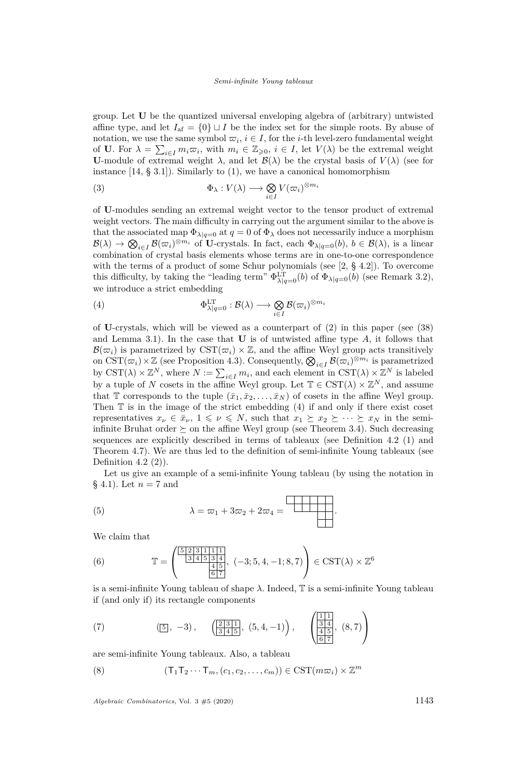group. Let **U** be the quantized universal enveloping algebra of (arbitrary) untwisted affine type, and let  $I_{af} = \{0\} \sqcup I$  be the index set for the simple roots. By abuse of notation, we use the same symbol  $\overline{\omega}_i$ ,  $i \in I$ , for the *i*-th level-zero fundamental weight of **U**. For  $\lambda = \sum_{i \in I} m_i \overline{\omega}_i$ , with  $m_i \in \mathbb{Z}_{\geqslant 0}$ ,  $i \in I$ , let  $V(\lambda)$  be the extremal weight **U**-module of extremal weight  $\lambda$ , and let  $\mathcal{B}(\lambda)$  be the crystal basis of  $V(\lambda)$  (see for instance  $[14, § 3.1]$  $[14, § 3.1]$ . Similarly to  $(1)$ , we have a canonical homomorphism

(3) 
$$
\Phi_{\lambda}: V(\lambda) \longrightarrow \bigotimes_{i \in I} V(\varpi_{i})^{\otimes m_{i}}
$$

of **U**-modules sending an extremal weight vector to the tensor product of extremal weight vectors. The main difficulty in carrying out the argument similar to the above is that the associated map  $\Phi_{\lambda|q=0}$  at  $q=0$  of  $\Phi_{\lambda}$  does not necessarily induce a morphism  $\mathcal{B}(\lambda) \to \bigotimes_{i \in I} \mathcal{B}(\varpi_i)^{\otimes m_i}$  of U-crystals. In fact, each  $\Phi_{\lambda|q=0}(b), b \in \mathcal{B}(\lambda)$ , is a linear combination of crystal basis elements whose terms are in one-to-one correspondence with the terms of a product of some Schur polynomials (see [\[2,](#page-22-7) § 4.2]). To overcome this difficulty, by taking the "leading term"  $\Phi^{\text{LT}}_{\lambda|q=0}(b)$  of  $\Phi_{\lambda|q=0}(b)$  (see Remark [3.2\)](#page-11-0), we introduce a strict embedding

<span id="page-3-0"></span>(4) 
$$
\Phi^{\mathrm{LT}}_{\lambda|q=0} : \mathcal{B}(\lambda) \longrightarrow \bigotimes_{i \in I} \mathcal{B}(\varpi_i)^{\otimes m_i}
$$

of **U**-crystals, which will be viewed as a counterpart of [\(2\)](#page-2-0) in this paper (see [\(38\)](#page-11-1) and Lemma [3.1\)](#page-11-2). In the case that **U** is of untwisted affine type *A*, it follows that  $\mathcal{B}(\varpi_i)$  is parametrized by  $\text{CST}(\varpi_i) \times \mathbb{Z}$ , and the affine Weyl group acts transitively on  $\mathrm{CST}(\varpi_i) \times \mathbb{Z}$  (see Proposition [4.3\)](#page-16-1). Consequently,  $\bigotimes_{i \in I} \mathcal{B}(\varpi_i)^{\otimes m_i}$  is parametrized by  $\text{CST}(\lambda) \times \mathbb{Z}^N$ , where  $N := \sum_{i \in I} m_i$ , and each element in  $\text{CST}(\lambda) \times \mathbb{Z}^N$  is labeled by a tuple of *N* cosets in the affine Weyl group. Let  $\mathbb{T} \in \mathrm{CST}(\lambda) \times \mathbb{Z}^N$ , and assume that T corresponds to the tuple  $(\bar{x}_1, \bar{x}_2, \ldots, \bar{x}_N)$  of cosets in the affine Weyl group. Then  $\mathbb T$  is in the image of the strict embedding  $(4)$  if and only if there exist coset representatives  $x_{\nu} \in \bar{x}_{\nu}$ ,  $1 \leq \nu \leq N$ , such that  $x_1 \succeq x_2 \succeq \cdots \succeq x_N$  in the semiinfinite Bruhat order  $\succeq$  on the affine Weyl group (see Theorem [3.4\)](#page-12-0). Such decreasing sequences are explicitly described in terms of tableaux (see Definition [4.2](#page-15-0) [\(1\)](#page-15-3) and Theorem [4.7\)](#page-16-0). We are thus led to the definition of semi-infinite Young tableaux (see Definition [4.2](#page-15-0) $(2)$ ).

Let us give an example of a semi-infinite Young tableau (by using the notation in  $§ 4.1$ ). Let  $n = 7$  and

(5) 
$$
\lambda = \varpi_1 + 3\varpi_2 + 2\varpi_4 = \square
$$

We claim that

(6) 
$$
\mathbb{T} = \begin{pmatrix} \frac{5}{2} & \frac{2}{3} & \frac{1}{4} & \frac{1}{1} & \frac{1}{1} \\ \frac{3}{4} & \frac{4}{5} & \frac{5}{4} & \frac{4}{5} \\ \frac{6}{6} & 7 & 8 \end{pmatrix}, (-3; 5, 4, -1; 8, 7) \in \text{CST}(\lambda) \times \mathbb{Z}^6
$$

is a semi-infinite Young tableau of shape *λ*. Indeed, T is a semi-infinite Young tableau if (and only if) its rectangle components

(7) 
$$
(\boxed{5}, -3), \quad (\boxed{\frac{2}{3}\frac{3}{4}\frac{1}{5}}, (5, 4, -1)), \quad (\boxed{\frac{1}{3}\frac{4}{4}\frac{1}{5}}, (8, 7))
$$

are semi-infinite Young tableaux. Also, a tableau

(8) 
$$
(\mathsf{T}_1 \mathsf{T}_2 \cdots \mathsf{T}_m, (c_1, c_2, \ldots, c_m)) \in \text{CST}(m\varpi_i) \times \mathbb{Z}^m
$$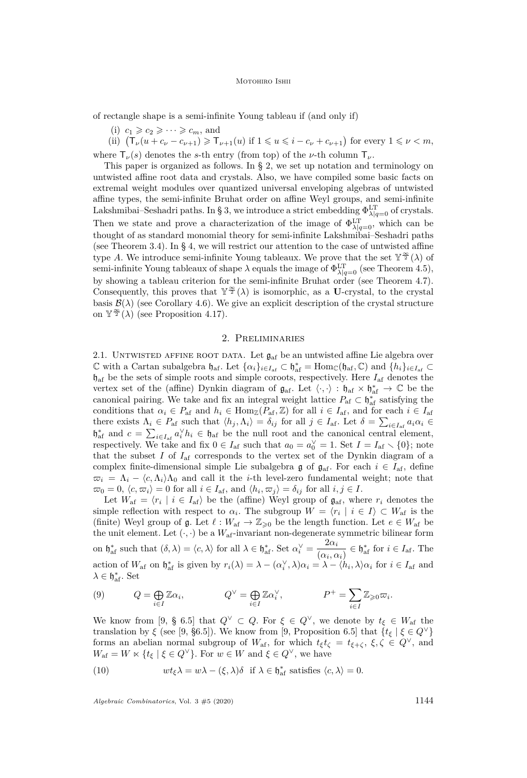#### MOTOHIRO ISHII

of rectangle shape is a semi-infinite Young tableau if (and only if)

(i)  $c_1 \geqslant c_2 \geqslant \cdots \geqslant c_m$ , and

(ii)  $(T_{\nu}(u + c_{\nu} - c_{\nu+1}) \ge T_{\nu+1}(u)$  if  $1 \le u \le i - c_{\nu} + c_{\nu+1}$ ) for every  $1 \le \nu < m$ , where  $\mathsf{T}_{\nu}(s)$  denotes the *s*-th entry (from top) of the *ν*-th column  $\mathsf{T}_{\nu}$ .

This paper is organized as follows. In § [2,](#page-4-0) we set up notation and terminology on untwisted affine root data and crystals. Also, we have compiled some basic facts on extremal weight modules over quantized universal enveloping algebras of untwisted affine types, the semi-infinite Bruhat order on affine Weyl groups, and semi-infinite Lakshmibai–Seshadri paths. In § [3,](#page-10-1) we introduce a strict embedding  $\Phi^{\text{LT}}_{\lambda|q=0}$  of crystals. Then we state and prove a characterization of the image of  $\Phi_{\lambda|q=0}^{\text{LT}}$ , which can be thought of as standard monomial theory for semi-infinite Lakshmibai–Seshadri paths (see Theorem [3.4\)](#page-12-0). In § [4,](#page-15-5) we will restrict our attention to the case of untwisted affine type *A*. We introduce semi-infinite Young tableaux. We prove that the set  $\mathbb{Y}^{\frac{\infty}{2}}(\lambda)$  of semi-infinite Young tableaux of shape  $\lambda$  equals the image of  $\Phi_{\lambda|q=0}^{\text{LT}}$  (see Theorem [4.5\)](#page-16-3), by showing a tableau criterion for the semi-infinite Bruhat order (see Theorem [4.7\)](#page-16-0). Consequently, this proves that  $\mathbb{Y}^{\frac{\infty}{2}}(\lambda)$  is isomorphic, as a **U**-crystal, to the crystal basis  $\mathcal{B}(\lambda)$  (see Corollary [4.6\)](#page-16-4). We give an explicit description of the crystal structure on  $\mathbb{Y}^{\frac{\infty}{2}}(\lambda)$  (see Proposition [4.17\)](#page-21-0).

# 2. Preliminaries

<span id="page-4-0"></span>2.1. UNTWISTED AFFINE ROOT DATA. Let  $\mathfrak{g}_{\text{af}}$  be an untwisted affine Lie algebra over  $\mathbb{C}$  with a Cartan subalgebra  $\mathfrak{h}_{\text{af}}$ . Let  $\{\alpha_i\}_{i\in I_{\text{af}}} \subset \mathfrak{h}_{\text{af}}^* = \text{Hom}_{\mathbb{C}}(\mathfrak{h}_{\text{af}}, \mathbb{C})$  and  $\{\dot{h}_i\}_{i\in I_{\text{af}}} \subset$ haf be the sets of simple roots and simple coroots, respectively. Here *I*af denotes the vertex set of the (affine) Dynkin diagram of  $\mathfrak{g}_{af}$ . Let  $\langle \cdot, \cdot \rangle : \mathfrak{h}_{af} \times \mathfrak{h}_{af}^* \to \mathbb{C}$  be the canonical pairing. We take and fix an integral weight lattice  $P_{\text{af}} \subset \mathfrak{h}_{\text{af}}^*$  satisfying the conditions that  $\alpha_i \in P_{\text{af}}$  and  $h_i \in \text{Hom}_{\mathbb{Z}}(P_{\text{af}}, \mathbb{Z})$  for all  $i \in I_{\text{af}}$ , and for each  $i \in I_{\text{af}}$ there exists  $\Lambda_i \in P_{\text{af}}$  such that  $\langle h_j, \Lambda_i \rangle = \delta_{ij}$  for all  $j \in I_{\text{af}}$ . Let  $\delta = \sum_{i \in I_{\text{af}}} a_i \alpha_i \in$  $\mathfrak{h}_{\text{af}}^*$  and  $c = \sum_{i \in I_{\text{af}}} a_i^{\vee} h_i \in \mathfrak{h}_{\text{af}}$  be the null root and the canonical central element, respectively. We take and fix  $0 \in I_{\text{af}}$  such that  $a_0 = a_0^{\vee} = 1$ . Set  $I = I_{\text{af}} \setminus \{0\}$ ; note that the subset *I* of  $I_{\text{af}}$  corresponds to the vertex set of the Dynkin diagram of a complex finite-dimensional simple Lie subalgebra g of  $\mathfrak{g}_{af}$ . For each  $i \in I_{af}$ , define  $\overline{\omega}_i = \Lambda_i - \langle c, \Lambda_i \rangle \Lambda_0$  and call it the *i*-th level-zero fundamental weight; note that  $\omega_0 = 0$ ,  $\langle c, \omega_i \rangle = 0$  for all  $i \in I_{\text{af}}$ , and  $\langle h_i, \omega_j \rangle = \delta_{ij}$  for all  $i, j \in I$ .

Let  $W_{\text{af}} = \langle r_i \mid i \in I_{\text{af}} \rangle$  be the (affine) Weyl group of  $\mathfrak{g}_{\text{af}}$ , where  $r_i$  denotes the simple reflection with respect to  $\alpha_i$ . The subgroup  $W = \langle r_i | i \in I \rangle \subset W_{\text{af}}$  is the (finite) Weyl group of  $\mathfrak{g}$ . Let  $\ell : W_{\mathrm{af}} \to \mathbb{Z}_{\geqslant 0}$  be the length function. Let  $e \in W_{\mathrm{af}}$  be the unit element. Let  $(\cdot, \cdot)$  be a  $W_{\text{af}}$ -invariant non-degenerate symmetric bilinear form on  $\mathfrak{h}_{\text{af}}^*$  such that  $(\delta, \lambda) = \langle c, \lambda \rangle$  for all  $\lambda \in \mathfrak{h}_{\text{af}}^*$ . Set  $\alpha_i^{\vee} = \frac{2\alpha_i}{\langle \alpha_i, \alpha_i \rangle}$  $\frac{2\alpha_i}{(\alpha_i,\alpha_i)} \in \mathfrak{h}_{\text{af}}^*$  for  $i \in I_{\text{af}}$ . The action of  $W_{\text{af}}$  on  $\mathfrak{h}_{\text{af}}^*$  is given by  $r_i(\lambda) = \lambda - (\alpha_i^{\vee}, \lambda)\alpha_i = \lambda - \langle h_i, \lambda \rangle \alpha_i$  for  $i \in I_{\text{af}}$  and  $λ ∈ *h*<sup>*</sup><sub>af</sub>. Set$ 

(9) 
$$
Q = \bigoplus_{i \in I} \mathbb{Z} \alpha_i, \qquad Q^{\vee} = \bigoplus_{i \in I} \mathbb{Z} \alpha_i^{\vee}, \qquad P^+ = \sum_{i \in I} \mathbb{Z}_{\geq 0} \varpi_i.
$$

We know from [\[9,](#page-22-5) § 6.5] that  $Q^{\vee} \subset Q$ . For  $\xi \in Q^{\vee}$ , we denote by  $t_{\xi} \in W_{\text{af}}$  the translation by *ξ* (see [\[9,](#page-22-5) §6.5]). We know from [9, Proposition 6.5] that  $\{t_{\xi} \mid \xi \in Q^{\vee}\}\$ forms an abelian normal subgroup of  $W_{\text{af}}$ , for which  $t_{\xi}t_{\zeta} = t_{\xi+\zeta}, \xi, \zeta \in Q^{\vee}$ , and  $W_{\text{af}} = W \ltimes \{t_{\xi} \mid \xi \in Q^{\vee}\}.$  For  $w \in W$  and  $\xi \in Q^{\vee}$ , we have

<span id="page-4-1"></span>(10) 
$$
wt_{\xi}\lambda = w\lambda - (\xi, \lambda)\delta \text{ if } \lambda \in \mathfrak{h}_{\text{af}}^* \text{ satisfies } \langle c, \lambda \rangle = 0.
$$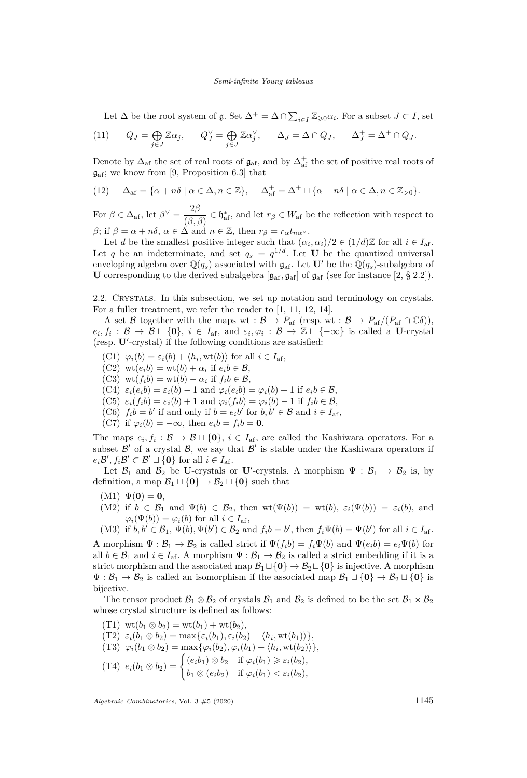Let  $\Delta$  be the root system of  $\mathfrak{g}$ . Set  $\Delta^+ = \Delta \cap \sum_{i \in I} \mathbb{Z}_{\geq 0} \alpha_i$ . For a subset  $J \subset I$ , set

(11) 
$$
Q_J = \bigoplus_{j \in J} \mathbb{Z}\alpha_j
$$
,  $Q_J^{\vee} = \bigoplus_{j \in J} \mathbb{Z}\alpha_j^{\vee}$ ,  $\Delta_J = \Delta \cap Q_J$ ,  $\Delta_J^+ = \Delta^+ \cap Q_J$ .

Denote by  $\Delta_{af}$  the set of real roots of  $\mathfrak{g}_{af}$ , and by  $\Delta_{af}^+$  the set of positive real roots of  $\mathfrak{g}_{\text{af}}$ ; we know from [\[9,](#page-22-5) Proposition 6.3] that

(12) 
$$
\Delta_{\text{af}} = \{ \alpha + n\delta \mid \alpha \in \Delta, n \in \mathbb{Z} \}, \quad \Delta_{\text{af}}^+ = \Delta^+ \sqcup \{ \alpha + n\delta \mid \alpha \in \Delta, n \in \mathbb{Z}_{>0} \}.
$$

For  $\beta \in \Delta_{\text{af}}$ , let  $\beta^{\vee} = \frac{2\beta}{\sqrt{\beta}}$  $\frac{2\rho}{(\beta, \beta)} \in \mathfrak{h}_{\text{af}}^*$ , and let  $r_\beta \in W_{\text{af}}$  be the reflection with respect to *β*; if  $\beta = \alpha + n\delta$ ,  $\alpha \in \Delta$  and  $n \in \mathbb{Z}$ , then  $r_{\beta} = r_{\alpha}t_{n\alpha}$ .

Let *d* be the smallest positive integer such that  $(\alpha_i, \alpha_i)/2 \in (1/d)\mathbb{Z}$  for all  $i \in I_{\text{af}}$ . Let q be an indeterminate, and set  $q_s = q^{1/d}$ . Let **U** be the quantized universal enveloping algebra over  $\mathbb{Q}(q_s)$  associated with  $\mathfrak{g}_{af}$ . Let  $\mathbf{U}'$  be the  $\mathbb{Q}(q_s)$ -subalgebra of **U** corresponding to the derived subalgebra  $[\mathfrak{g}_{\text{af}}, \mathfrak{g}_{\text{af}}]$  of  $\mathfrak{g}_{\text{af}}$  (see for instance  $[2, \S 2.2]$  $[2, \S 2.2]$ ).

<span id="page-5-0"></span>2.2. Crystals. In this subsection, we set up notation and terminology on crystals. For a fuller treatment, we refer the reader to [\[1,](#page-22-8) [11,](#page-23-8) [12,](#page-23-9) [14\]](#page-23-7).

A set B together with the maps wt :  $\mathcal{B} \to P_{\text{af}}$  (resp. wt :  $\mathcal{B} \to P_{\text{af}}/(P_{\text{af}} \cap \mathbb{C}\delta)$ ),  $e_i, f_i: \mathcal{B} \to \mathcal{B} \sqcup \{\mathbf{0}\}, i \in I_{af}, \text{ and } \varepsilon_i, \varphi_i: \mathcal{B} \to \mathbb{Z} \sqcup \{-\infty\} \text{ is called a } \mathbf{U}\text{-crystal}$ (resp. U'-crystal) if the following conditions are satisfied:

- $(C1)$   $\varphi_i(b) = \varepsilon_i(b) + \langle h_i, \text{wt}(b) \rangle$  for all  $i \in I_{\text{af}},$
- $(C2)$  wt $(e_i b) = \text{wt}(b) + \alpha_i$  if  $e_i b \in \mathcal{B}$ ,
- (C3)  $\text{wt}(f_i b) = \text{wt}(b) \alpha_i \text{ if } f_i b \in \mathcal{B}$ ,
- $(C4) \varepsilon_i(e_i b) = \varepsilon_i(b) 1$  and  $\varphi_i(e_i b) = \varphi_i(b) + 1$  if  $e_i b \in \mathcal{B}$ ,
- $(C5) \varepsilon_i(f_i b) = \varepsilon_i(b) + 1$  and  $\varphi_i(f_i b) = \varphi_i(b) 1$  if  $f_i b \in \mathcal{B}$ ,
- (C6)  $f_i b = b'$  if and only if  $b = e_i b'$  for  $b, b' \in \mathcal{B}$  and  $i \in I_{af}$ ,
- (C7) if  $\varphi_i(b) = -\infty$ , then  $e_i b = f_i b = 0$ .

The maps  $e_i, f_i: \mathcal{B} \to \mathcal{B} \sqcup \{\mathbf{0}\}, i \in I_{\text{af}}, \text{ are called the Kashiwara operators. For a$ subset  $\mathcal{B}'$  of a crystal  $\mathcal{B}$ , we say that  $\mathcal{B}'$  is stable under the Kashiwara operators if  $e_i \mathcal{B}', f_i \mathcal{B}' \subset \mathcal{B}' \sqcup \{\mathbf{0}\}\$ for all  $i \in I_{\text{af}}$ .

Let  $\mathcal{B}_1$  and  $\mathcal{B}_2$  be **U**-crystals or **U**'-crystals. A morphism  $\Psi : \mathcal{B}_1 \to \mathcal{B}_2$  is, by definition, a map  $\mathcal{B}_1 \sqcup \{\mathbf{0}\} \to \mathcal{B}_2 \sqcup \{\mathbf{0}\}$  such that

- $(M1) \Psi(0) = 0$ ,
- (M2) if  $b \in \mathcal{B}_1$  and  $\Psi(b) \in \mathcal{B}_2$ , then  $wt(\Psi(b)) = wt(b), \varepsilon_i(\Psi(b)) = \varepsilon_i(b)$ , and  $\varphi_i(\Psi(b)) = \varphi_i(b)$  for all  $i \in I_{\text{af}}$ ,

(M3) if  $b, b' \in \mathcal{B}_1$ ,  $\Psi(b), \Psi(b') \in \mathcal{B}_2$  and  $f_i b = b'$ , then  $f_i \Psi(b) = \Psi(b')$  for all  $i \in I_{af}$ . A morphism  $\Psi : \mathcal{B}_1 \to \mathcal{B}_2$  is called strict if  $\Psi(f_i b) = f_i \Psi(b)$  and  $\Psi(e_i b) = e_i \Psi(b)$  for all  $b \in \mathcal{B}_1$  and  $i \in I_{af}$ . A morphism  $\Psi : \mathcal{B}_1 \to \mathcal{B}_2$  is called a strict embedding if it is a strict morphism and the associated map  $B_1 \sqcup \{0\} \rightarrow B_2 \sqcup \{0\}$  is injective. A morphism  $\Psi: \mathcal{B}_1 \to \mathcal{B}_2$  is called an isomorphism if the associated map  $\mathcal{B}_1 \sqcup \{\mathbf{0}\} \to \mathcal{B}_2 \sqcup \{\mathbf{0}\}$  is bijective.

The tensor product  $\mathcal{B}_1 \otimes \mathcal{B}_2$  of crystals  $\mathcal{B}_1$  and  $\mathcal{B}_2$  is defined to be the set  $\mathcal{B}_1 \times \mathcal{B}_2$ whose crystal structure is defined as follows:

(T1)  $\text{wt}(b_1 \otimes b_2) = \text{wt}(b_1) + \text{wt}(b_2),$  $(T2) \varepsilon_i(b_1 \otimes b_2) = \max\{\varepsilon_i(b_1), \varepsilon_i(b_2) - \langle h_i, \text{wt}(b_1) \rangle\},\$  $(T3) \varphi_i(b_1 \otimes b_2) = \max{\varphi_i(b_2), \varphi_i(b_1) + \langle h_i, \text{wt}(b_2) \rangle},$  $(T4) e_i(b_1 \otimes b_2) = \begin{cases} (e_i b_1) \otimes b_2 & \text{if } \varphi_i(b_1) \geq \varepsilon_i(b_2), \\ l_1 \otimes (l_1) & \text{if } \varphi_i(b_1) \geq \varepsilon_i(b_2), \end{cases}$  $b_1 \otimes (e_i b_2)$  if  $\varphi_i(b_1) < \varepsilon_i(b_2)$ ,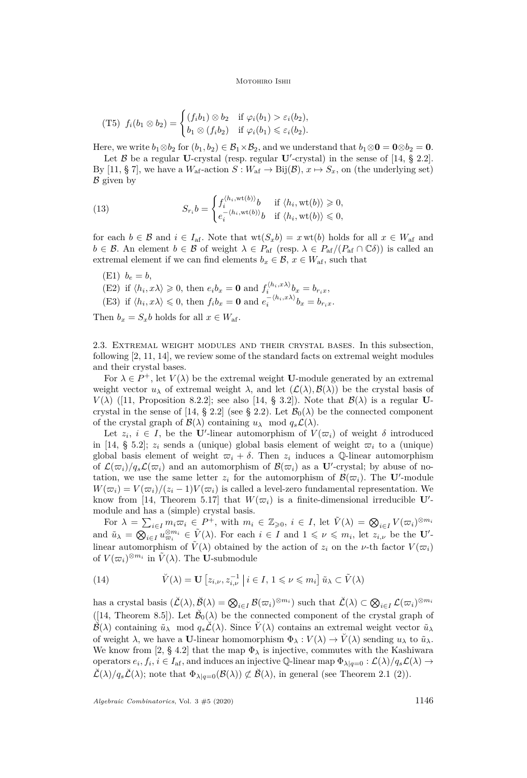(T5) 
$$
f_i(b_1 \otimes b_2) = \begin{cases} (f_ib_1) \otimes b_2 & \text{if } \varphi_i(b_1) > \varepsilon_i(b_2), \\ b_1 \otimes (f_ib_2) & \text{if } \varphi_i(b_1) \leq \varepsilon_i(b_2). \end{cases}
$$

Here, we write  $b_1 \otimes b_2$  for  $(b_1, b_2) \in \mathcal{B}_1 \times \mathcal{B}_2$ , and we understand that  $b_1 \otimes \mathbf{0} = \mathbf{0} \otimes b_2 = \mathbf{0}$ .

Let  $\beta$  be a regular **U**-crystal (resp. regular **U**'-crystal) in the sense of [\[14,](#page-23-7) § 2.2]. By [\[11,](#page-23-8) § 7], we have a  $W_{\text{af}}$ -action  $S: W_{\text{af}} \to \text{Bij}(\mathcal{B}), x \mapsto S_x$ , on (the underlying set)  $\beta$  given by

<span id="page-6-1"></span>(13) 
$$
S_{r_i}b = \begin{cases} f_i^{\langle h_i, \text{wt}(b) \rangle}b & \text{if } \langle h_i, \text{wt}(b) \rangle \geq 0, \\ e_i^{-\langle h_i, \text{wt}(b) \rangle}b & \text{if } \langle h_i, \text{wt}(b) \rangle \leq 0, \end{cases}
$$

for each  $b \in \mathcal{B}$  and  $i \in I_{af}$ . Note that  $wt(S_x b) = x wt(b)$  holds for all  $x \in W_{af}$  and  $b \in \mathcal{B}$ . An element  $b \in \mathcal{B}$  of weight  $\lambda \in P_{\text{af}}$  (resp.  $\lambda \in P_{\text{af}}/(P_{\text{af}} \cap \mathbb{C}\delta)$ ) is called an extremal element if we can find elements  $b_x \in \mathcal{B}$ ,  $x \in W_{\text{af}}$ , such that

(E1)  $b_e = b$ ,

(E2) if  $\langle h_i, x \lambda \rangle \geq 0$ , then  $e_i b_x = \mathbf{0}$  and  $f_i^{\langle h_i, x \lambda \rangle} b_x = b_{r_i x}$ ,

(E3) if  $\langle h_i, x \lambda \rangle \leq 0$ , then  $f_i b_x = \mathbf{0}$  and  $e_i^{-\langle h_i, x \lambda \rangle} b_x = b_{r_i x}$ .

Then  $b_x = S_x b$  holds for all  $x \in W_{\text{af}}$ .

<span id="page-6-0"></span>2.3. Extremal weight modules and their crystal bases. In this subsection, following [\[2,](#page-22-7) [11,](#page-23-8) [14\]](#page-23-7), we review some of the standard facts on extremal weight modules and their crystal bases.

For  $\lambda \in P^+$ , let  $V(\lambda)$  be the extremal weight **U**-module generated by an extremal weight vector  $u_{\lambda}$  of extremal weight  $\lambda$ , and let  $(\mathcal{L}(\lambda), \mathcal{B}(\lambda))$  be the crystal basis of  $V(\lambda)$  ([\[11,](#page-23-8) Proposition 8.2.2]; see also [\[14,](#page-23-7) § 3.2]). Note that  $\mathcal{B}(\lambda)$  is a regular **U**-crystal in the sense of [\[14,](#page-23-7) § 2.2] (see § [2.2\)](#page-5-0). Let  $\mathcal{B}_0(\lambda)$  be the connected component of the crystal graph of  $\mathcal{B}(\lambda)$  containing  $u_{\lambda} \mod q_s\mathcal{L}(\lambda)$ .

Let  $z_i$ ,  $i \in I$ , be the U'-linear automorphism of  $V(\varpi_i)$  of weight  $\delta$  introduced in [\[14,](#page-23-7) § 5.2];  $z_i$  sends a (unique) global basis element of weight  $\overline{\omega}_i$  to a (unique) global basis element of weight  $\overline{\omega}_i + \delta$ . Then  $z_i$  induces a Q-linear automorphism of  $\mathcal{L}(\varpi_i)/q_s\mathcal{L}(\varpi_i)$  and an automorphism of  $\mathcal{B}(\varpi_i)$  as a U'-crystal; by abuse of notation, we use the same letter  $z_i$  for the automorphism of  $\mathcal{B}(\varpi_i)$ . The **U**'-module  $W(\varpi_i) = V(\varpi_i)/(z_i - 1)V(\varpi_i)$  is called a level-zero fundamental representation. We know from [\[14,](#page-23-7) Theorem 5.17] that  $W(\varpi_i)$  is a finite-dimensional irreducible **U**'module and has a (simple) crystal basis.

For  $\lambda = \sum_{i \in I} m_i \varpi_i \in P^+$ , with  $m_i \in \mathbb{Z}_{\geqslant 0}, i \in I$ , let  $\tilde{V}(\lambda) = \bigotimes_{i \in I} V(\varpi_i)^{\otimes m_i}$ and  $\tilde{u}_{\lambda} = \bigotimes_{i \in I} u_{\varpi_i}^{\otimes m_i} \in \tilde{V}(\lambda)$ . For each  $i \in I$  and  $1 \leqslant \nu \leqslant m_i$ , let  $z_{i,\nu}$  be the **U'**linear automorphism of  $\tilde{V}(\lambda)$  obtained by the action of  $z_i$  on the *v*-th factor  $V(\varpi_i)$ of  $V(\varpi_i)^{\otimes m_i}$  in  $\tilde{V}(\lambda)$ . The U-submodule

(14) 
$$
\check{V}(\lambda) = \mathbf{U} \left[ z_{i,\nu}, z_{i,\nu}^{-1} \mid i \in I, 1 \leq \nu \leq m_i \right] \tilde{u}_{\lambda} \subset \tilde{V}(\lambda)
$$

 $\mathcal{B}(\mathcal{L}(\lambda), \mathcal{B}(\lambda)) = \bigotimes_{i \in I} \mathcal{B}(\varpi_i)^{\otimes m_i}$  such that  $\check{\mathcal{L}}(\lambda) \subset \bigotimes_{i \in I} \mathcal{L}(\varpi_i)^{\otimes m_i}$ ([\[14,](#page-23-7) Theorem 8.5]). Let  $\breve{\mathcal{B}}_0(\lambda)$  be the connected component of the crystal graph of  $\check{B}(\lambda)$  containing  $\tilde{u}_{\lambda}$  mod  $q_s\check{\mathcal{L}}(\lambda)$ . Since  $\check{V}(\lambda)$  contains an extremal weight vector  $\tilde{u}_{\lambda}$ of weight  $\lambda$ , we have a **U**-linear homomorphism  $\Phi_{\lambda}: V(\lambda) \to V(\lambda)$  sending  $u_{\lambda}$  to  $\tilde{u}_{\lambda}$ . We know from [\[2,](#page-22-7) § 4.2] that the map  $\Phi_{\lambda}$  is injective, commutes with the Kashiwara operators  $e_i, f_i, i \in I_{af}$ , and induces an injective Q-linear map  $\Phi_{\lambda|q=0} : \mathcal{L}(\lambda)/q_s\mathcal{L}(\lambda) \to$  $\check{\mathcal{L}}(\lambda)/q_s\check{\mathcal{L}}(\lambda)$ ; note that  $\Phi_{\lambda|q=0}(\mathcal{B}(\lambda)) \not\subset \check{\mathcal{B}}(\lambda)$ , in general (see Theorem [2.1](#page-7-0) [\(2\)\)](#page-7-1).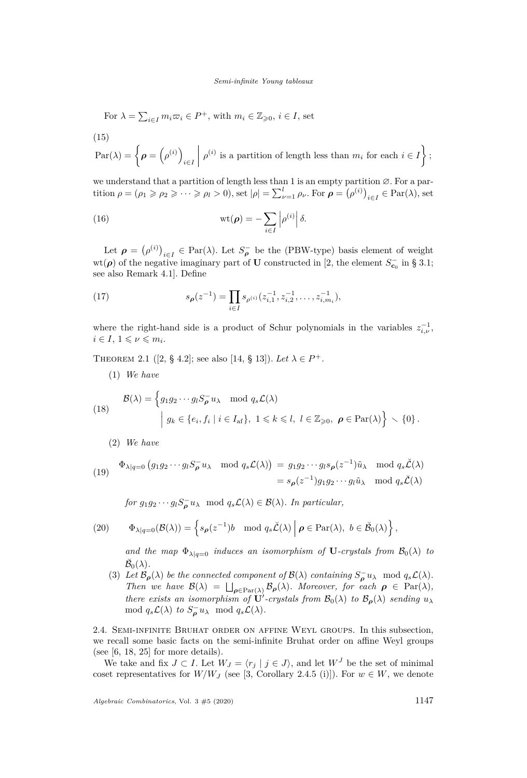For 
$$
\lambda = \sum_{i \in I} m_i \varpi_i \in P^+
$$
, with  $m_i \in \mathbb{Z}_{\geqslant 0}$ ,  $i \in I$ , set

<span id="page-7-2"></span>(15)

$$
\operatorname{Par}(\lambda) = \left\{ \rho = \left(\rho^{(i)}\right)_{i \in I} \middle| \rho^{(i)} \text{ is a partition of length less than } m_i \text{ for each } i \in I \right\};
$$

we understand that a partition of length less than 1 is an empty partition  $Ø$ . For a partition  $\rho = (\rho_1 \geqslant \rho_2 \geqslant \cdots \geqslant \rho_l > 0)$ , set  $|\rho| = \sum_{\nu=1}^l \rho_\nu$ . For  $\rho = (\rho^{(i)})_{i \in I} \in \text{Par}(\lambda)$ , set

(16) 
$$
\text{wt}(\boldsymbol{\rho}) = -\sum_{i \in I} \left| \rho^{(i)} \right| \delta.
$$

Let  $\rho = (\rho^{(i)})_{i \in I} \in \text{Par}(\lambda)$ . Let  $S_{\rho}^-$  be the (PBW-type) basis element of weight wt( $\rho$ ) of the negative imaginary part of **U** constructed in [\[2,](#page-22-7) the element  $S_{\mathbf{c}_0}^-$  in § 3.1; see also Remark 4.1]. Define

<span id="page-7-5"></span>(17) 
$$
s_{\rho}(z^{-1}) = \prod_{i \in I} s_{\rho^{(i)}}(z_{i,1}^{-1}, z_{i,2}^{-1}, \dots, z_{i,m_i}^{-1}),
$$

where the right-hand side is a product of Schur polynomials in the variables  $z_{i,\nu}^{-1}$ ,  $i \in I, 1 \leqslant \nu \leqslant m_i.$ 

<span id="page-7-0"></span>THEOREM 2.1 ([\[2,](#page-22-7) § 4.2]; see also [\[14,](#page-23-7) § 13]). Let  $\lambda \in P^+$ .

(1) *We have*

(18) 
$$
\mathcal{B}(\lambda) = \left\{ g_1 g_2 \cdots g_l S_{\rho}^{-} u_{\lambda} \mod q_s \mathcal{L}(\lambda) \middle| g_k \in \{e_i, f_i \mid i \in I_{\text{af}} \}, 1 \leq k \leq l, l \in \mathbb{Z}_{\geq 0}, \rho \in \text{Par}(\lambda) \right\} \setminus \{0\}.
$$

<span id="page-7-1"></span>(2) *We have*

<span id="page-7-3"></span>(19) 
$$
\Phi_{\lambda|q=0} (g_1 g_2 \cdots g_l S_{\rho}^{-} u_{\lambda} \mod q_s \mathcal{L}(\lambda)) = g_1 g_2 \cdots g_l s_{\rho}(z^{-1}) \tilde{u}_{\lambda} \mod q_s \check{\mathcal{L}}(\lambda)
$$

$$
= s_{\rho}(z^{-1}) g_1 g_2 \cdots g_l \tilde{u}_{\lambda} \mod q_s \check{\mathcal{L}}(\lambda)
$$

*for*  $g_1 g_2 \cdots g_l S_{\rho}^- u_{\lambda} \mod q_s \mathcal{L}(\lambda) \in \mathcal{B}(\lambda)$ *. In particular,* 

(20) 
$$
\Phi_{\lambda|q=0}(\mathcal{B}(\lambda))=\left\{s_{\boldsymbol{\rho}}(z^{-1})b \mod q_s\check{\mathcal{L}}(\lambda)\,\middle|\, \boldsymbol{\rho}\in\mathrm{Par}(\lambda),\ b\in\check{\mathcal{B}}_0(\lambda)\right\},\
$$

*and the map*  $\Phi_{\lambda}$ <sub>|*q*=0</sub> *induces an isomorphism of* **U***-crystals from*  $\mathcal{B}_0(\lambda)$  *to*  $\breve{\mathcal{B}}_0(\lambda)$ .

<span id="page-7-4"></span>(3) Let  $\mathcal{B}_{\rho}(\lambda)$  be the connected component of  $\mathcal{B}(\lambda)$  containing  $S_{\rho}^{-}u_{\lambda} \mod q_{s}\mathcal{L}(\lambda)$ . *Then we have*  $\mathcal{B}(\lambda) = \bigsqcup_{\rho \in \text{Par}(\lambda)} \mathcal{B}_{\rho}(\lambda)$ *. Moreover, for each*  $\rho \in \text{Par}(\lambda)$ *, there exists an isomorphism of*  $\dot{\mathbf{U}}'$ -crystals from  $\mathcal{B}_0(\lambda)$  to  $\mathcal{B}_{\rho}(\lambda)$  sending  $u_{\lambda}$ mod  $q_s\mathcal{L}(\lambda)$  *to*  $S_{\rho}^- u_{\lambda}$  mod  $q_s\mathcal{L}(\lambda)$ *.* 

<span id="page-7-6"></span>2.4. Semi-infinite Bruhat order on affine Weyl groups. In this subsection, we recall some basic facts on the semi-infinite Bruhat order on affine Weyl groups (see  $[6, 18, 25]$  $[6, 18, 25]$  $[6, 18, 25]$  $[6, 18, 25]$  $[6, 18, 25]$  for more details).

We take and fix  $J \subset I$ . Let  $W_J = \langle r_j | j \in J \rangle$ , and let  $W^J$  be the set of minimal coset representatives for  $W/W_J$  (see [\[3,](#page-22-6) Corollary 2.4.5 (i)]). For  $w \in W$ , we denote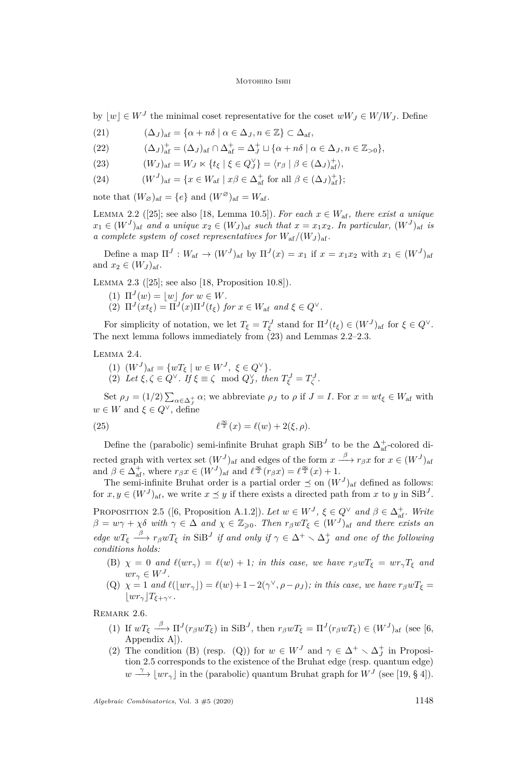by  $\lfloor w \rfloor \in W^J$  the minimal coset representative for the coset  $wW_J \in W/W_J$ . Define

(21)  $(\Delta_J)_{\text{af}} = {\alpha + n\delta \mid \alpha \in \Delta_J, n \in \mathbb{Z}} \subset \Delta_{\text{af}},$ 

(22) 
$$
(\Delta_J)_{\text{af}}^+ = (\Delta_J)_{\text{af}} \cap \Delta_{\text{af}}^+ = \Delta_J^+ \sqcup \{\alpha + n\delta \mid \alpha \in \Delta_J, n \in \mathbb{Z}_{>0}\},\
$$

- <span id="page-8-0"></span>(23)  $(W_J)_{\text{af}} = W_J \ltimes \{t_{\xi} \mid \xi \in Q_J^{\vee}\} = \langle r_{\beta} \mid \beta \in (\Delta_J)_{\text{af}}^{\pm} \rangle,$
- (24)  $(W^{J})_{\text{af}} = \{x \in W_{\text{af}} \mid x\beta \in \Delta_{\text{af}}^{+} \text{ for all } \beta \in (\Delta_{J})_{\text{af}}^{+}\};$

note that  $(W_{\varnothing})_{af} = \{e\}$  and  $(W^{\varnothing})_{af} = W_{af}$ .

<span id="page-8-1"></span>LEMMA 2.2 ([\[25\]](#page-23-11); see also [\[18,](#page-23-10) Lemma 10.5]). *For each*  $x \in W_{\text{af}}$ *, there exist a unique*  $x_1 \in (W^J)$ <sub>af</sub> and a unique  $x_2 \in (W_J)$ <sub>af</sub> such that  $x = x_1 x_2$ . In particular,  $(W^J)_{\text{af}}$  is *a complete system of coset representatives for*  $W_{af}/(W_J)_{af}$ .

Define a map  $\Pi^J: W_{\text{af}} \to (W^J)_{\text{af}}$  by  $\Pi^J(x) = x_1$  if  $x = x_1 x_2$  with  $x_1 \in (W^J)_{\text{af}}$ and  $x_2 \in (W_J)_{\text{af}}$ .

<span id="page-8-2"></span>Lemma 2.3 ([\[25\]](#page-23-11); see also [\[18,](#page-23-10) Proposition 10.8]).

- $(1) \Pi^{J}(w) = |w| \text{ for } w \in W.$
- (2)  $\Pi^{J}(xt_{\xi}) = \Pi^{J}(x)\Pi^{J}(t_{\xi})$  for  $x \in W_{\text{af}}$  and  $\xi \in Q^{\vee}$ .

For simplicity of notation, we let  $T_{\xi} = T_{\xi}^{J}$  stand for  $\Pi^{J}(t_{\xi}) \in (W^{J})_{\text{af}}$  for  $\xi \in Q^{\vee}$ . The next lemma follows immediately from [\(23\)](#page-8-0) and Lemmas [2.2](#page-8-1)[–2.3.](#page-8-2)

<span id="page-8-6"></span>Lemma 2.4.

<span id="page-8-7"></span> $(W^{J})_{\text{af}} = \{wT_{\xi} \mid w \in W^{J}, \xi \in Q^{\vee}\}.$ (2) Let  $\xi, \zeta \in Q^{\vee}$ . If  $\xi \equiv \zeta \mod Q_J^{\vee}$ , then  $T_{\xi}^J = T_{\zeta}^J$ .

Set  $\rho_J = (1/2) \sum_{\alpha \in \Delta_I^+} \alpha$ ; we abbreviate  $\rho_J$  to  $\rho$  if  $J = I$ . For  $x = wt_{\xi} \in W_{\text{af}}$  with  $w \in W$  and  $\xi \in Q^{\vee}$ , define

(25) 
$$
\ell^{\frac{\infty}{2}}(x) = \ell(w) + 2(\xi, \rho).
$$

Define the (parabolic) semi-infinite Bruhat graph  $\text{SiB}^J$  to be the  $\Delta^{\ddag}_{\text{af}}$ -colored directed graph with vertex set  $(W<sup>J</sup>)<sub>af</sub>$  and edges of the form  $x \xrightarrow{\beta} r_{\beta}x$  for  $x \in (W<sup>J</sup>)<sub>af</sub>$ and  $\beta \in \Delta_{\text{af}}^+$ , where  $r_{\beta}x \in (W^J)_{\text{af}}$  and  $\ell^{\frac{\infty}{2}}(r_{\beta}x) = \ell^{\frac{\infty}{2}}(x) + 1$ .

<span id="page-8-5"></span>The semi-infinite Bruhat order is a partial order  $\preceq$  on  $(W<sup>J</sup>)<sub>af</sub>$  defined as follows: for  $x, y \in (W^J)_{\text{af}}$ , we write  $x \preceq y$  if there exists a directed path from  $x$  to  $y$  in  $\text{SiB}^J$ . PROPOSITION 2.5 ([\[6,](#page-22-3) Proposition A.1.2]). Let  $w \in W^J$ ,  $\xi \in Q^{\vee}$  and  $\beta \in \Delta_{\text{af}}^+$ . Write  $\beta = w\gamma + \chi\delta$  *with*  $\gamma \in \Delta$  *and*  $\chi \in \mathbb{Z}_{\geqslant 0}$ . Then  $r_{\beta}wT_{\xi} \in (W^J)_{\text{af}}$  *and there exists an edge*  $wT_{\xi} \stackrel{\beta}{\longrightarrow} r_{\beta}wT_{\xi}$  *in* SiB<sup>*J*</sup> *if and only if*  $\gamma \in \Delta^+ \setminus \Delta^+_J$  *and one of the following* 

- <span id="page-8-3"></span>*conditions holds:* (B)  $\chi = 0$  *and*  $\ell(wr_{\gamma}) = \ell(w) + 1$ ; *in this case, we have*  $r_{\beta}wT_{\xi} = wr_{\gamma}T_{\xi}$  *and*  $wr_{\gamma} \in W^J$ .
	- (Q)  $\chi = 1$  *and*  $\ell(\lfloor wr_{\gamma} \rfloor) = \ell(w) + 1 2(\gamma^{\vee}, \rho \rho_{J})$ ; *in this case, we have*  $r_{\beta}wT_{\xi} =$  $|wr_{\gamma}|T_{\xi+\gamma}$ <sup>γ</sup>.

<span id="page-8-4"></span>Remark 2.6.

- (1) If  $wT_{\xi} \stackrel{\beta}{\longrightarrow} \Pi^{J}(r_{\beta}wT_{\xi})$  in SiB<sup>J</sup>, then  $r_{\beta}wT_{\xi} = \Pi^{J}(r_{\beta}wT_{\xi}) \in (W^{J})_{\text{af}}$  (see [\[6,](#page-22-3) Appendix A]).
- (2) The condition [\(B\)](#page-8-3) (resp. [\(Q\)\)](#page-8-4) for  $w \in W<sup>J</sup>$  and  $\gamma \in \Delta^+ \setminus \Delta^+_J$  in Proposition [2.5](#page-8-5) corresponds to the existence of the Bruhat edge (resp. quantum edge)  $w \stackrel{\gamma}{\longrightarrow} [wr_{\gamma}]$  in the (parabolic) quantum Bruhat graph for  $W^J$  (see [\[19,](#page-23-12) § 4]).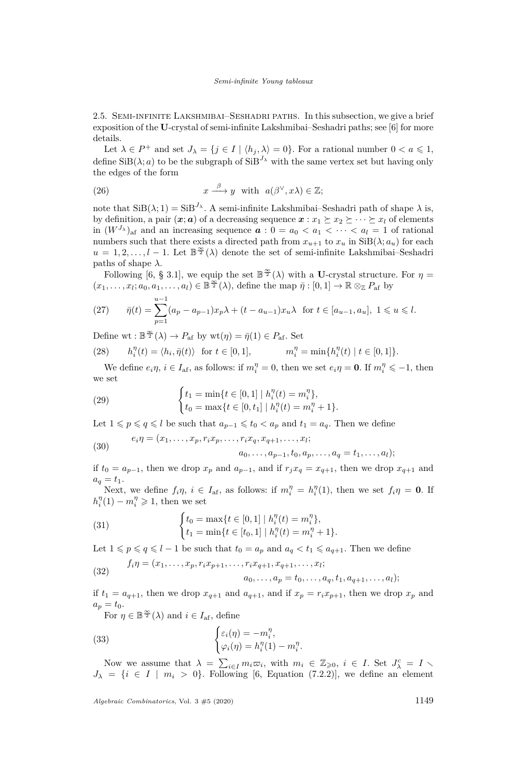2.5. Semi-infinite Lakshmibai–Seshadri paths. In this subsection, we give a brief exposition of the **U**-crystal of semi-infinite Lakshmibai–Seshadri paths; see [\[6\]](#page-22-3) for more details.

Let  $\lambda \in P^+$  and set  $J_{\lambda} = \{j \in I \mid \langle h_j, \lambda \rangle = 0\}$ . For a rational number  $0 < a \leq 1$ , define  $\text{SiB}(\lambda; a)$  to be the subgraph of  $\text{SiB}^{J_{\lambda}}$  with the same vertex set but having only the edges of the form

(26) 
$$
x \xrightarrow{\beta} y
$$
 with  $a(\beta^{\vee}, x\lambda) \in \mathbb{Z};$ 

note that  $\text{SiB}(\lambda; 1) = \text{SiB}^{J_{\lambda}}$ . A semi-infinite Lakshmibai–Seshadri path of shape  $\lambda$  is, by definition, a pair  $(x; a)$  of a decreasing sequence  $x: x_1 \succeq x_2 \succeq \cdots \succeq x_l$  of elements in  $(W^{J_{\lambda}})_{\text{af}}$  and an increasing sequence  $a: 0 = a_0 < a_1 < \cdots < a_l = 1$  of rational numbers such that there exists a directed path from  $x_{u+1}$  to  $x_u$  in  $\text{SiB}(\lambda; a_u)$  for each  $u = 1, 2, \ldots, l - 1$ . Let  $\mathbb{B}^{\infty}(\lambda)$  denote the set of semi-infinite Lakshmibai–Seshadri paths of shape  $\lambda$ .

Following [\[6,](#page-22-3) § 3.1], we equip the set  $\mathbb{B}^{\infty}(\lambda)$  with a **U**-crystal structure. For  $\eta =$  $(x_1, \ldots, x_l; a_0, a_1, \ldots, a_l) \in \mathbb{B}^{\frac{\infty}{2}}(\lambda)$ , define the map  $\bar{\eta}: [0,1] \to \mathbb{R} \otimes_{\mathbb{Z}} P_{\text{af}}$  by

<span id="page-9-0"></span>(27) 
$$
\bar{\eta}(t) = \sum_{p=1}^{u-1} (a_p - a_{p-1}) x_p \lambda + (t - a_{u-1}) x_u \lambda \text{ for } t \in [a_{u-1}, a_u], 1 \le u \le l.
$$

Define wt:  $\mathbb{B}^{\frac{\infty}{2}}(\lambda) \to P_{\text{af}}$  by wt $(\eta) = \bar{\eta}(1) \in P_{\text{af}}$ . Set

<span id="page-9-1"></span>(28) 
$$
h_i^{\eta}(t) = \langle h_i, \bar{\eta}(t) \rangle \text{ for } t \in [0, 1], \qquad m_i^{\eta} = \min\{h_i^{\eta}(t) \mid t \in [0, 1]\}.
$$

We define  $e_i \eta$ ,  $i \in I_{\text{af}}$ , as follows: if  $m_i^{\eta} = 0$ , then we set  $e_i \eta = 0$ . If  $m_i^{\eta} \le -1$ , then we set

<span id="page-9-2"></span>(29) 
$$
\begin{cases} t_1 = \min\{t \in [0,1] \mid h_i^{\eta}(t) = m_i^{\eta}\}, \\ t_0 = \max\{t \in [0,t_1] \mid h_i^{\eta}(t) = m_i^{\eta} + 1\}. \end{cases}
$$

Let  $1 \leqslant p \leqslant q \leqslant l$  be such that  $a_{p-1} \leqslant t_0 < a_p$  and  $t_1 = a_q$ . Then we define

<span id="page-9-5"></span>
$$
(30) \qquad e_i \eta = (x_1, \ldots, x_p, r_i x_p, \ldots, r_i x_q, x_{q+1}, \ldots, x_l;
$$

 $a_0, \ldots, a_{p-1}, t_0, a_p, \ldots, a_q = t_1, \ldots, a_l);$ 

if  $t_0 = a_{p-1}$ , then we drop  $x_p$  and  $a_{p-1}$ , and if  $r_j x_q = x_{q+1}$ , then we drop  $x_{q+1}$  and  $a_q = t_1.$ 

Next, we define  $f_i\eta$ ,  $i \in I_{af}$ , as follows: if  $m_i^{\eta} = h_i^{\eta}(1)$ , then we set  $f_i\eta = 0$ . If  $h_i^{\eta}(1) - m_i^{\eta} \geq 1$ , then we set

<span id="page-9-3"></span>(31) 
$$
\begin{cases} t_0 = \max\{t \in [0,1] \mid h_i^{\eta}(t) = m_i^{\eta}\}, \\ t_1 = \min\{t \in [t_0,1] \mid h_i^{\eta}(t) = m_i^{\eta} + 1\}. \end{cases}
$$

Let  $1 \leqslant p \leqslant q \leqslant l - 1$  be such that  $t_0 = a_p$  and  $a_q < t_1 \leqslant a_{q + 1}$ . Then we define

(32) 
$$
f_i \eta = (x_1, \dots, x_p, r_i x_{p+1}, \dots, r_i x_{q+1}, x_{q+1}, \dots, x_l; a_0, \dots, a_p = t_0, \dots, a_q, t_1, a_{q+1}, \dots, a_l);
$$

if  $t_1 = a_{q+1}$ , then we drop  $x_{q+1}$  and  $a_{q+1}$ , and if  $x_p = r_i x_{p+1}$ , then we drop  $x_p$  and  $a_p = t_0$ .

For  $\eta \in \mathbb{B}^{\frac{\infty}{2}}(\lambda)$  and  $i \in I_{\text{af}}$ , define

<span id="page-9-4"></span>(33) 
$$
\begin{cases} \varepsilon_i(\eta) = -m_i^{\eta}, \\ \varphi_i(\eta) = h_i^{\eta}(1) - m_i^{\eta} \end{cases}
$$

Now we assume that  $\lambda = \sum_{i \in I} m_i \overline{\omega}_i$ , with  $m_i \in \mathbb{Z}_{\geqslant 0}, i \in I$ . Set  $J^c_{\lambda} = I$  $J_{\lambda} = \{i \in I \mid m_i > 0\}$ . Following [\[6,](#page-22-3) Equation (7.2.2)], we define an element

*.*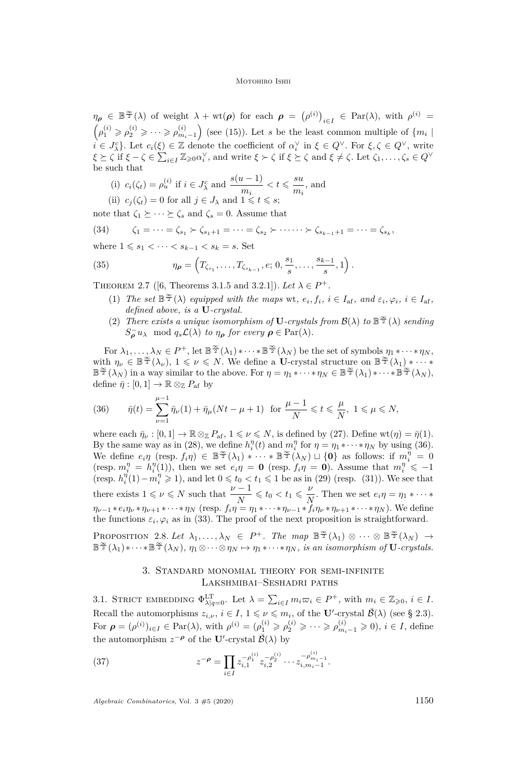$\eta_{\rho} \in \mathbb{B}^{\frac{\infty}{2}}(\lambda)$  of weight  $\lambda + \text{wt}(\rho)$  for each  $\rho = (\rho^{(i)})_{i \in I} \in \text{Par}(\lambda)$ , with  $\rho^{(i)} =$  $(\rho_1^{(i)} \geqslant \rho_2^{(i)} \geqslant \cdots \geqslant \rho_{m_i-1}^{(i)})$  (see [\(15\)](#page-7-2)). Let *s* be the least common multiple of  $\{m_i \mid$  $i \in J_{\lambda}^{c}$ . Let  $c_i(\xi) \in \mathbb{Z}$  denote the coefficient of  $\alpha_i^{\vee}$  in  $\xi \in Q^{\vee}$ . For  $\xi, \zeta \in Q^{\vee}$ , write  $\xi \succeq \zeta$  if  $\xi - \zeta \in \sum_{i \in I} \mathbb{Z}_{\geq 0} \alpha_i^{\vee}$ , and write  $\xi \succ \zeta$  if  $\xi \succeq \zeta$  and  $\xi \neq \zeta$ . Let  $\zeta_1, \ldots, \zeta_s \in Q^{\vee}$ be such that

- (i)  $c_i(\zeta_t) = \rho_u^{(i)}$  if  $i \in J_{\lambda}^c$  and  $\frac{s(u-1)}{m_i} < t \leqslant \frac{su}{m_i}$  $\frac{\partial u}{\partial n_i}$ , and
- (ii)  $c_j(\zeta_t) = 0$  for all  $j \in J_\lambda$  and  $1 \leq t \leq s$ ;

note that  $\zeta_1 \succeq \cdots \succeq \zeta_s$  and  $\zeta_s = 0$ . Assume that

$$
(34) \qquad \zeta_1 = \cdots = \zeta_{s_1} \succ \zeta_{s_1+1} = \cdots = \zeta_{s_2} \succ \cdots \cdots \succ \zeta_{s_{k-1}+1} = \cdots = \zeta_{s_k},
$$

where  $1 \le s_1 < \cdots < s_{k-1} < s_k = s$ . Set

(35) 
$$
\eta_{\rho} = \left(T_{\zeta_{s_1}}, \ldots, T_{\zeta_{s_{k-1}}}, e; 0, \frac{s_1}{s}, \ldots, \frac{s_{k-1}}{s}, 1\right).
$$

<span id="page-10-3"></span>THEOREM 2.7 ([\[6,](#page-22-3) Theorems 3.1.5 and 3.2.1]). Let  $\lambda \in P^+$ .

- (1) The set  $\mathbb{B}^{\infty}(\lambda)$  equipped with the maps wt,  $e_i, f_i, i \in I_{af}$ , and  $\varepsilon_i, \varphi_i, i \in I_{af}$ , *defined above, is a* **U***-crystal.*
- <span id="page-10-4"></span>(2) *There exists a unique isomorphism of* **U***-crystals from*  $\mathcal{B}(\lambda)$  *to*  $\mathbb{B}^{\frac{\infty}{2}}(\lambda)$  *sending*  $S_{\rho}^{-}u_{\lambda} \mod q_{s}\mathcal{L}(\lambda)$  *to*  $\eta_{\rho}$  *for every*  $\rho \in \text{Par}(\lambda)$ *.*

For  $\lambda_1, \ldots, \lambda_N \in P^+$ , let  $\mathbb{B}^{\frac{\infty}{2}}(\lambda_1) * \cdots * \mathbb{B}^{\frac{\infty}{2}}(\lambda_N)$  be the set of symbols  $\eta_1 * \cdots * \eta_N$ , with  $\eta_{\nu} \in \mathbb{B}^{\frac{\infty}{2}}(\lambda_{\nu}), 1 \leq \nu \leq N$ . We define a **U**-crystal structure on  $\mathbb{B}^{\frac{\infty}{2}}(\lambda_{1}) * \cdots *$  $\mathbb{B}^{\frac{\infty}{2}}(\lambda_N)$  in a way similar to the above. For  $\eta = \eta_1 * \cdots * \eta_N \in \mathbb{B}^{\frac{\infty}{2}}(\lambda_1) * \cdots * \mathbb{B}^{\frac{\infty}{2}}(\lambda_N)$ , define  $\bar{\eta} : [0,1] \to \mathbb{R} \otimes_{\mathbb{Z}} P_{\text{af}}$  by

<span id="page-10-2"></span>(36) 
$$
\bar{\eta}(t) = \sum_{\nu=1}^{\mu-1} \bar{\eta}_{\nu}(1) + \bar{\eta}_{\mu}(Nt - \mu + 1) \text{ for } \frac{\mu-1}{N} \leq t \leq \frac{\mu}{N}, 1 \leq \mu \leq N,
$$

where each  $\bar{\eta}_{\nu} : [0,1] \to \mathbb{R} \otimes_{\mathbb{Z}} P_{\text{af}}, 1 \leqslant \nu \leqslant N$ , is defined by [\(27\)](#page-9-0). Define wt $(\eta) = \bar{\eta}(1)$ . By the same way as in [\(28\)](#page-9-1), we define  $h_i^{\eta}(t)$  and  $m_i^{\eta}$  for  $\eta = \eta_1 * \cdots * \eta_N$  by using [\(36\)](#page-10-2). We define  $e_i \eta$  (resp.  $f_i \eta$ )  $\in \mathbb{B}^{\frac{\infty}{2}}(\lambda_1) * \cdots * \mathbb{B}^{\frac{\infty}{2}}(\lambda_N) \sqcup \{0\}$  as follows: if  $m_i^{\eta} = 0$  $(\text{resp. } m_i^{\eta} = h_i^{\eta}(1)),$  then we set  $e_i \eta = \mathbf{0}$  (resp.  $f_i \eta = \mathbf{0}$ ). Assume that  $m_i^{\eta} \leq -1$ (resp.  $h_i^{\eta}(1) - m_i^{\eta} \geq 1$ ), and let  $0 \leq t_0 < t_1 \leq 1$  be as in [\(29\)](#page-9-2) (resp. [\(31\)](#page-9-3)). We see that there exists  $1 \leq v \leq N$  such that  $\frac{\nu - 1}{N} \leq t_0 < t_1 \leq \frac{\nu}{N}$  $\frac{\nu}{N}$ . Then we set  $e_i \eta = \eta_1 * \cdots *$  $\eta_{\nu-1} * e_i \eta_{\nu} * \eta_{\nu+1} * \cdots * \eta_N$  (resp.  $f_i \eta = \eta_1 * \cdots * \eta_{\nu-1} * f_i \eta_{\nu} * \eta_{\nu+1} * \cdots * \eta_N$ ). We define the functions  $\varepsilon_i, \varphi_i$  as in [\(33\)](#page-9-4). The proof of the next proposition is straightforward.

<span id="page-10-5"></span>PROPOSITION 2.8. Let  $\lambda_1, ..., \lambda_N \in P^+$ . The map  $\mathbb{B}^{\frac{\infty}{2}}(\lambda_1) \otimes \cdots \otimes \mathbb{B}^{\frac{\infty}{2}}(\lambda_N) \rightarrow$  $\mathbb{B}^{\frac{\infty}{2}}(\lambda_1) * \cdots * \mathbb{B}^{\frac{\infty}{2}}(\lambda_N)$ ,  $\eta_1 \otimes \cdots \otimes \eta_N \mapsto \eta_1 * \cdots * \eta_N$ , is an isomorphism of **U**-crystals.

# 3. Standard monomial theory for semi-infinite Lakshmibai–Seshadri paths

<span id="page-10-1"></span><span id="page-10-0"></span>3.1. STRICT EMBEDDING  $\Phi_{\lambda|q=0}^{\text{LT}}$ . Let  $\lambda = \sum_{i\in I} m_i \varpi_i \in P^+$ , with  $m_i \in \mathbb{Z}_{\geqslant 0}, i \in I$ . Recall the automorphisms  $z_{i,\nu}$ ,  $i \in I$ ,  $1 \leqslant \nu \leqslant m_i$ , of the **U**'-crystal  $\breve{\mathcal{B}}(\lambda)$  (see § [2.3\)](#page-6-0). For  $\rho = (\rho^{(i)})_{i \in I} \in \text{Par}(\lambda)$ , with  $\rho^{(i)} = (\rho_1^{(i)} \geqslant \rho_2^{(i)} \geqslant \cdots \geqslant \rho_{m_i-1}^{(i)} \geqslant 0)$ ,  $i \in I$ , define the automorphism  $z^{-\rho}$  of the **U**'-crystal  $\breve{\mathcal{B}}(\lambda)$  by

(37) 
$$
z^{-\rho} = \prod_{i \in I} z_{i,1}^{-\rho_1^{(i)}} z_{i,2}^{-\rho_2^{(i)}} \cdots z_{i,m_i-1}^{-\rho_{m_i-1}^{(i)}}.
$$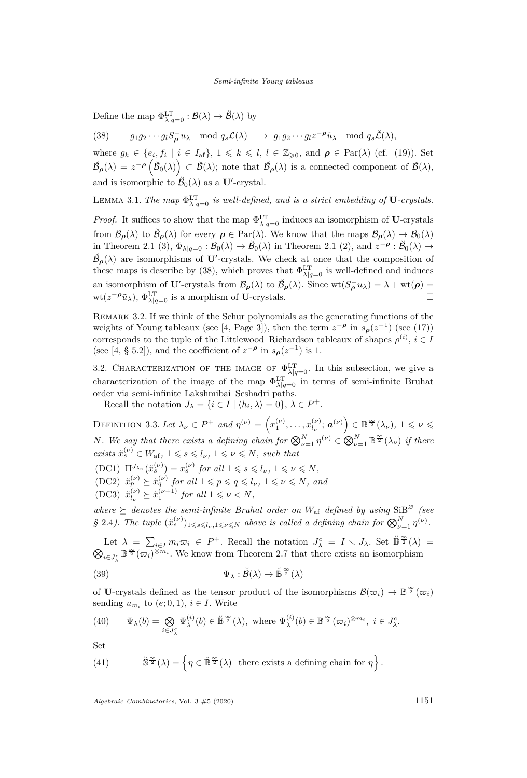Define the map  $\Phi^{\mathrm{LT}}_{\lambda|q=0} : \mathcal{B}(\lambda) \to \check{\mathcal{B}}(\lambda)$  by

<span id="page-11-1"></span>(38)  $g_1g_2\cdots g_lS_{\rho}^-u_{\lambda} \mod q_s\mathcal{L}(\lambda) \longmapsto g_1g_2\cdots g_lz^{-\rho}\tilde{u}_{\lambda} \mod q_s\check{\mathcal{L}}(\lambda),$ 

where  $g_k \in \{e_i, f_i \mid i \in I_{\text{af}}\}, 1 \leq k \leq l, l \in \mathbb{Z}_{\geq 0}$ , and  $\rho \in \text{Par}(\lambda)$  (cf. [\(19\)](#page-7-3)). Set  $\check{\mathcal{B}}_{\rho}(\lambda) = z^{-\rho} \left( \check{\mathcal{B}}_0(\lambda) \right) \subset \check{\mathcal{B}}(\lambda)$ ; note that  $\check{\mathcal{B}}_{\rho}(\lambda)$  is a connected component of  $\check{\mathcal{B}}(\lambda)$ , and is isomorphic to  $\breve{\mathcal{B}}_0(\lambda)$  as a **U**'-crystal.

<span id="page-11-2"></span>LEMMA 3.1. The map  $\Phi_{\lambda|q=0}^{\text{LT}}$  *is well-defined, and is a strict embedding of* **U***-crystals.* 

*Proof.* It suffices to show that the map  $\Phi_{\lambda|q=0}^{\text{LT}}$  induces an isomorphism of **U**-crystals from  $\mathcal{B}_{\rho}(\lambda)$  to  $\check{\mathcal{B}}_{\rho}(\lambda)$  for every  $\rho \in \text{Par}(\lambda)$ . We know that the maps  $\mathcal{B}_{\rho}(\lambda) \to \mathcal{B}_{0}(\lambda)$ in Theorem [2.1](#page-7-0) [\(3\),](#page-7-4)  $\Phi_{\lambda|q=0} : \mathcal{B}_0(\lambda) \to \mathcal{B}_0(\lambda)$  in Theorem 2.1 [\(2\),](#page-7-1) and  $z^{-\rho} : \mathcal{B}_0(\lambda) \to$  $\check{\mathcal{B}}_{\rho}(\lambda)$  are isomorphisms of **U**'-crystals. We check at once that the composition of these maps is describe by [\(38\)](#page-11-1), which proves that  $\Phi^{\text{LT}}_{\lambda|q=0}$  is well-defined and induces an isomorphism of **U**'-crystals from  $\mathcal{B}_{\rho}(\lambda)$  to  $\breve{\mathcal{B}}_{\rho}(\lambda)$ . Since  $wt(S_{\rho}^{-}u_{\lambda}) = \lambda + wt(\rho) =$  $wt(z^{-\rho}\tilde{u}_{\lambda}), \Phi_{\lambda|q=0}^{\text{LT}}$  is a morphism of **U**-crystals. □

<span id="page-11-0"></span>Remark 3.2. If we think of the Schur polynomials as the generating functions of the weights of Young tableaux (see [\[4,](#page-22-4) Page 3]), then the term  $z^{-\rho}$  in  $s_{\rho}(z^{-1})$  (see [\(17\)](#page-7-5)) corresponds to the tuple of the Littlewood–Richardson tableaux of shapes  $\rho^{(i)}$ ,  $i \in I$ (see [\[4,](#page-22-4) § 5.2]), and the coefficient of  $z^{-\rho}$  in  $s_{\rho}(z^{-1})$  is 1.

3.2. CHARACTERIZATION OF THE IMAGE OF  $\Phi_{\lambda|q=0}^{\text{LT}}$ . In this subsection, we give a characterization of the image of the map  $\Phi_{\lambda|q=0}^{\text{LT}}$  in terms of semi-infinite Bruhat order via semi-infinite Lakshmibai–Seshadri paths.

Recall the notation  $J_{\lambda} = \{i \in I \mid \langle h_i, \lambda \rangle = 0\}, \lambda \in P^+$ .

DEFINITION 3.3. Let  $\lambda_{\nu} \in P^+$  and  $\eta^{(\nu)} = \left( x_1^{(\nu)}, \ldots, x_{l_{\nu}}^{(\nu)} \right)$  $\left(\begin{matrix} \nu\\ l_{\nu} \end{matrix}\right)$ ;  $\boldsymbol{a}^{(\nu)}$ )  $\in \mathbb{B}^{\frac{\infty}{2}}(\lambda_{\nu}), 1 \leqslant \nu \leqslant$ *N*. We say that there exists a defining chain for  $\bigotimes_{\nu=1}^{N} \eta^{(\nu)} \in \bigotimes_{\nu=1}^{N} \mathbb{B}^{\frac{\infty}{2}}(\lambda_{\nu})$  if there  $\tilde{x}_{s}^{(\nu)} \in W_{\text{af}}, 1 \leqslant s \leqslant l_{\nu}, 1 \leqslant \nu \leqslant N, \text{ such that}$  $(DC1)$   $\Pi^{J_{\lambda_{\nu}}}(\tilde{x}_{s}^{(\nu)}) = x_{s}^{(\nu)}$  *for all*  $1 \leq s \leq l_{\nu}, 1 \leq \nu \leq N$ ,  $(DC2)$   $\tilde{x}_p^{(\nu)} \succeq \tilde{x}_q^{(\nu)}$  for all  $1 \leqslant p \leqslant q \leqslant l_{\nu}, 1 \leqslant \nu \leqslant N$ , and

 $(DC3) \; \tilde{x}^{(\nu)}_l$  $\hat{x}_{l_{\nu}}^{(\nu)} \geq \tilde{x}_{1}^{(\nu+1)}$  for all  $1 \leq \nu < N$ ,

*where*  $\succeq$  *denotes the semi-infinite Bruhat order on*  $W_{\text{af}}$  *defined by using* SiB<sup> $\varnothing$ </sup> *(see §* [2.4](#page-7-6)). The tuple  $(\tilde{x}_s^{(\nu)})_{1 \leq s \leq l_\nu, 1 \leq \nu \leq N}$  above is called a defining chain for  $\bigotimes_{\nu=1}^N \eta^{(\nu)}$ .

Let  $\lambda = \sum_{i \in I} m_i \varpi_i \in P^+$ . Recall the notation  $J^c_{\lambda} = I \setminus J_{\lambda}$ . Set  $\check{\mathbb{B}}^{\frac{\infty}{2}}(\lambda) =$  $\bigotimes_{i \in J_{\lambda}^c} \mathbb{B}^{\frac{\infty}{2}}(\varpi_i)^{\otimes m_i}$ . We know from Theorem [2.7](#page-10-3) that there exists an isomorphism

(39) 
$$
\Psi_{\lambda} : \breve{\mathcal{B}}(\lambda) \to \breve{\mathbb{B}}^{\frac{\infty}{2}}(\lambda)
$$

of **U**-crystals defined as the tensor product of the isomorphisms  $\mathcal{B}(\varpi_i) \to \mathbb{B}^{\frac{\infty}{2}}(\varpi_i)$ sending  $u_{\varpi_i}$  to  $(e; 0, 1)$ ,  $i \in I$ . Write

(40) 
$$
\Psi_{\lambda}(b) = \bigotimes_{i \in J_{\lambda}^{c}} \Psi_{\lambda}^{(i)}(b) \in \mathbb{B}^{\frac{\infty}{2}}(\lambda), \text{ where } \Psi_{\lambda}^{(i)}(b) \in \mathbb{B}^{\frac{\infty}{2}}(\varpi_{i})^{\otimes m_{i}}, i \in J_{\lambda}^{c}.
$$

Set

(41) 
$$
\check{\mathbb{S}}^{\frac{\infty}{2}}(\lambda) = \left\{ \eta \in \check{\mathbb{B}}^{\frac{\infty}{2}}(\lambda) \middle| \text{there exists a defining chain for } \eta \right\}.
$$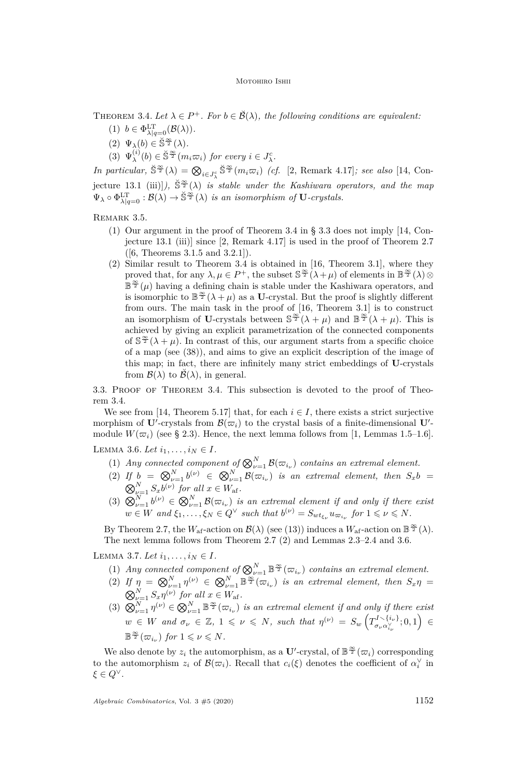<span id="page-12-7"></span><span id="page-12-0"></span>THEOREM 3.4. Let  $\lambda \in P^+$ . For  $b \in \check{\mathcal{B}}(\lambda)$ , the following conditions are equivalent:

- (1)  $b \in \Phi_{\lambda|q=0}^{\mathsf{LT}}(\mathcal{B}(\lambda)).$
- <span id="page-12-5"></span> $(2) \Psi_{\lambda}(b) \in \check{\mathbb{S}}^{\frac{\infty}{2}}(\lambda).$
- <span id="page-12-6"></span> $(3) \Psi_{\lambda}^{(i)}$  $\sum_{\lambda}^{(i)}(b) \in \mathbb{S}^{\frac{\infty}{2}}(m_i\varpi_i)$  *for every*  $i \in J_{\lambda}^c$ .

*In particular*,  $\check{S}^{\frac{\infty}{2}}(\lambda) = \bigotimes_{i \in J_{\lambda}^c} \check{S}^{\frac{\infty}{2}}(m_i \varpi_i)$  *(cf.* [\[2,](#page-22-7) Remark 4.17]*; see also* [\[14,](#page-23-7) Conjecture 13.1 (iii)]),  $\check{S}^{\infty}(\lambda)$  *is stable under the Kashiwara operators, and the map*  $\Psi_{\lambda} \circ \Phi_{\lambda|q=0}^{\text{LT}} : \mathcal{B}(\lambda) \to \check{\mathbb{S}}^{\frac{\infty}{2}}(\lambda)$  *is an isomorphism of* **U***-crystals.* 

Remark 3.5.

- (1) Our argument in the proof of Theorem [3.4](#page-12-0) in § [3.3](#page-12-1) does not imply [\[14,](#page-23-7) Conjecture 13.1 (iii)] since [\[2,](#page-22-7) Remark 4.17] is used in the proof of Theorem [2.7](#page-10-3) ([\[6,](#page-22-3) Theorems 3.1.5 and 3.2.1]).
- (2) Similar result to Theorem [3.4](#page-12-0) is obtained in [\[16,](#page-23-13) Theorem 3.1], where they proved that, for any  $\lambda, \mu \in P^+$ , the subset  $\mathbb{S}^{\frac{\infty}{2}}(\lambda + \mu)$  of elements in  $\mathbb{B}^{\frac{\infty}{2}}(\lambda) \otimes$  $\mathbb{B}^{\frac{\infty}{2}}(\mu)$  having a defining chain is stable under the Kashiwara operators, and is isomorphic to  $\mathbb{B}^{\infty}(\lambda + \mu)$  as a **U**-crystal. But the proof is slightly different from ours. The main task in the proof of [\[16,](#page-23-13) Theorem 3.1] is to construct an isomorphism of **U**-crystals between  $\mathbb{S}^{\frac{\infty}{2}}(\lambda + \mu)$  and  $\mathbb{B}^{\frac{\infty}{2}}(\lambda + \mu)$ . This is achieved by giving an explicit parametrization of the connected components of  $\mathbb{S}^{\frac{\infty}{2}}(\lambda + \mu)$ . In contrast of this, our argument starts from a specific choice of a map (see [\(38\)](#page-11-1)), and aims to give an explicit description of the image of this map; in fact, there are infinitely many strict embeddings of **U**-crystals from  $\mathcal{B}(\lambda)$  to  $\mathcal{B}(\lambda)$ , in general.

<span id="page-12-1"></span>3.3. Proof of Theorem [3.4](#page-12-0). This subsection is devoted to the proof of Theorem [3.4.](#page-12-0)

We see from [\[14,](#page-23-7) Theorem 5.17] that, for each  $i \in I$ , there exists a strict surjective morphism of  $\mathbf{U}'$ -crystals from  $\mathcal{B}(\varpi_i)$  to the crystal basis of a finite-dimensional  $\mathbf{U}'$ module  $W(\varpi_i)$  (see § [2.3\)](#page-6-0). Hence, the next lemma follows from [\[1,](#page-22-8) Lemmas 1.5–1.6].

<span id="page-12-2"></span>LEMMA 3.6. Let  $i_1, ..., i_N \in I$ .

- (1) *Any connected component of*  $\bigotimes_{\nu=1}^{N} \mathcal{B}(\varpi_{i_{\nu}})$  *contains an extremal element.*
- (2) If  $b = \bigotimes_{\nu=1}^{N} b^{(\nu)} \in \bigotimes_{\nu=1}^{N} \mathcal{B}(\varpi_{i_{\nu}})$  is an extremal element, then  $S_x b =$  $\bigotimes_{\nu=1}^{N} S_x b^{(\nu)}$  for all  $x \in W_{\text{af}}$ .
- (3)  $\bigotimes_{\nu=1}^N b^{(\nu)} \in \bigotimes_{\nu=1}^N \mathcal{B}(\varpi_{i_{\nu}})$  *is an extremal element if and only if there exist*  $w \in W$  *and*  $\xi_1, \ldots, \xi_N \in Q^{\vee}$  *such that*  $b^{(\nu)} = S_{wt_{\xi_{\nu}}} u_{\varpi_{i_{\nu}}}$  for  $1 \leq \nu \leq N$ .

By Theorem [2.7,](#page-10-3) the  $W_{\text{af}}$ -action on  $\mathcal{B}(\lambda)$  (see [\(13\)](#page-6-1)) induces a  $W_{\text{af}}$ -action on  $\mathbb{B}^{\frac{\infty}{2}}(\lambda)$ . The next lemma follows from Theorem [2.7](#page-10-3) [\(2\)](#page-10-4) and Lemmas [2.3–](#page-8-2)[2.4](#page-8-6) and [3.6.](#page-12-2)

<span id="page-12-3"></span>LEMMA 3.7. Let  $i_1, ..., i_N \in I$ .

- (1) *Any connected component of*  $\bigotimes_{\nu=1}^{N} \mathbb{B}^{\frac{\infty}{2}}(\varpi_{i_{\nu}})$  *contains an extremal element.*
- <span id="page-12-4"></span>(2) If  $\eta = \bigotimes_{\nu=1}^{N} \eta^{(\nu)} \in \bigotimes_{\nu=1}^{N} \mathbb{B}^{\frac{\infty}{2}}(\varpi_{i_{\nu}})$  is an extremal element, then  $S_x \eta =$  $\bigotimes_{\nu=1}^{N} S_{x} \eta^{(\nu)}$  for all  $x \in W_{\text{af}}$ .
- (3)  $\bigotimes_{\nu=1}^{N} \eta^{(\nu)} \in \bigotimes_{\nu=1}^{N} \mathbb{B}^{\frac{\infty}{2}}(\varpi_{i_{\nu}})$  *is an extremal element if and only if there exist*  $w \in W$  *and*  $\sigma_{\nu} \in \mathbb{Z}$ ,  $1 \leqslant \nu \leqslant N$ , *such that*  $\eta^{(\nu)} = S_w \left( T_{\sigma,\alpha}^{I \setminus \{i_{\nu}\}} \right)$  $\sigma_{\nu} \alpha_{i_{\nu}}^{\vee}$ ; 0, 1)  $\in$  $\mathbb{B}^{\frac{\infty}{2}}(\varpi_{i_{\nu}})$  for  $1 \leqslant \nu \leqslant N$ .

We also denote by  $z_i$  the automorphism, as a U'-crystal, of  $\mathbb{B}^{\frac{\infty}{2}}(\varpi_i)$  corresponding to the automorphism  $z_i$  of  $\mathcal{B}(\varpi_i)$ . Recall that  $c_i(\xi)$  denotes the coefficient of  $\alpha_i^{\vee}$  in *ξ* ∈ *Q*<sup>∨</sup>.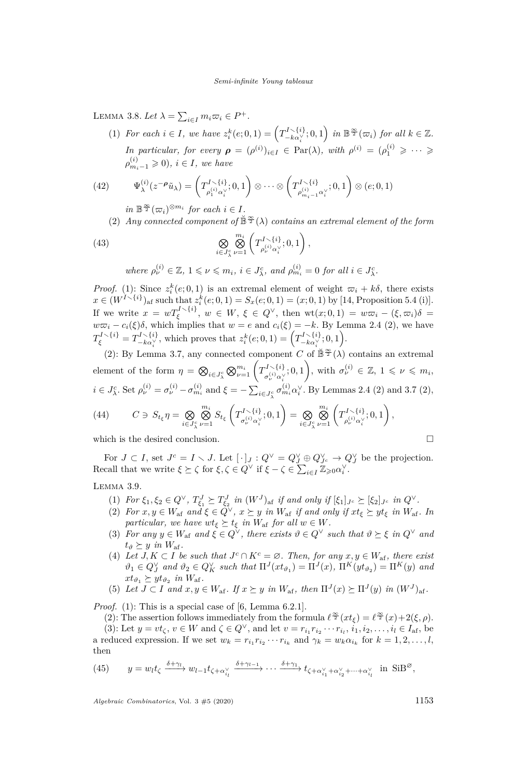<span id="page-13-8"></span><span id="page-13-0"></span>LEMMA 3.8. Let  $\lambda = \sum_{i \in I} m_i \varpi_i \in P^+$ .

(1) *For each*  $i \in I$ *, we have*  $z_i^k(e; 0, 1) = \left(T_{-k\alpha}^{I \setminus \{i\}}\right)$  $\left(\begin{array}{c}J\setminus\{i\},\\-k\alpha_i^{\vee}\end{array};0,1\right)$  *in*  $\mathbb{B}^{\frac{\infty}{2}}(\varpi_i)$  *for all*  $k\in\mathbb{Z}$ *. In particular, for every*  $\rho = (\rho^{(i)})_{i \in I} \in \text{Par}(\lambda)$ *, with*  $\rho^{(i)} = (\rho_1^{(i)} \geqslant \cdots \geqslant$  $\rho_{m_i-1}^{(i)} \geqslant 0$ ,  $i \in I$ , we have

(42) 
$$
\Psi_{\lambda}^{(i)}(z^{-\rho}\tilde{u}_{\lambda}) = \left(T^{I\setminus\{i\}}_{\rho_1^{(i)}\alpha_i^{\vee}};0,1\right) \otimes \cdots \otimes \left(T^{I\setminus\{i\}}_{\rho_{m_i-1}^{(i)}\alpha_i^{\vee}};0,1\right) \otimes (e;0,1)
$$

- $in \mathbb{B}^{\frac{\infty}{2}}(\varpi_i)^{\otimes m_i}$  *for each*  $i \in I$ *.*
- <span id="page-13-1"></span>(2) *Any connected component of*  $\mathbb{B}^{\frac{\infty}{2}}(\lambda)$  *contains an extremal element of the form*

(43) 
$$
\bigotimes_{i \in J_{\lambda}^{c}} \bigotimes_{\nu=1}^{m_{i}} \left( T_{\rho_{\nu}^{(i)} \alpha_{i}^{\vee}}^{I \setminus \{i\}}; 0, 1 \right),
$$

where  $\rho_{\nu}^{(i)} \in \mathbb{Z}, 1 \leq \nu \leq m_i, i \in J_{\lambda}^c, \text{ and } \rho_{m_i}^{(i)} = 0 \text{ for all } i \in J_{\lambda}^c.$ 

*Proof.* [\(1\):](#page-13-0) Since  $z_i^k(e; 0, 1)$  is an extremal element of weight  $\overline{\omega}_i + k\delta$ , there exists *x* ∈  $(W^{I \setminus \{i\}})$ <sub>af</sub> such that  $z_i^k(e; 0, 1) = S_x(e; 0, 1) = (x; 0, 1)$  by [\[14,](#page-23-7) Proposition 5.4 (i)]. If we write  $x = wT_{\xi}^{I \setminus \{i\}}$ ,  $w \in W$ ,  $\xi \in Q^{\vee}$ , then  $wt(x; 0, 1) = w\overline{\omega}_i - (\xi, \overline{\omega}_i)\delta =$  $w\bar{\omega}_i - c_i(\xi)\delta$ , which implies that  $w = e$  and  $c_i(\xi) = -k$ . By Lemma [2.4](#page-8-6) [\(2\),](#page-8-7) we have  $T_{\xi}^{I \setminus \{i\}} = T_{-k\alpha_{\xi}^{V}}^{I \setminus \{i\}}$  $\mathcal{L}^{I \setminus \{i\}}_{-k\alpha_i^{\vee}}$ , which proves that  $z_i^k(e; 0, 1) = \left(T_{-k\alpha_i^{\vee}}^{I \setminus \{i\}}\right)$ <sup>*i*</sup>  $\left(\begin{matrix} i \\ -k\alpha_i^\vee \end{matrix}\right)$  *i* θ, 1).

[\(2\):](#page-13-1) By Lemma [3.7,](#page-12-3) any connected component *C* of  $\mathbb{B}^{\infty}(\lambda)$  contains an extremal element of the form  $\eta = \bigotimes_{i \in J_{\lambda}^c} \bigotimes_{\nu=1}^{m_i} \left( T_{\sigma_{\nu}^{(i)} \alpha_{\nu}^{(i)}}^{I \setminus \{i\}} \right)$  $\sigma_{\nu}^{I \setminus \{i\}}(0,1)$ , with  $\sigma_{\nu}^{(i)} \in \mathbb{Z}, 1 \leq \nu \leq m_i$ ,  $i \in J^c_{\lambda}$ . Set  $\rho_{\nu}^{(i)} = \sigma_{\nu}^{(i)} - \sigma_{m_i}^{(i)}$  and  $\xi = -\sum_{i \in J^c_{\lambda}} \sigma_{m_i}^{(i)} \alpha_i^{\vee}$ . By Lemmas [2.4](#page-8-6) [\(2\)](#page-8-7) and [3.7](#page-12-3) [\(2\),](#page-12-4)

(44) 
$$
C \ni S_{t_{\xi}} \eta = \bigotimes_{i \in J_{\lambda}^{c}} \bigotimes_{\nu=1}^{m_{i}} S_{t_{\xi}} \left( T_{\sigma_{\nu}^{(i)} \alpha_{i}^{\vee}}^{I \setminus \{i\}}; 0, 1 \right) = \bigotimes_{i \in J_{\lambda}^{c}} \bigotimes_{\nu=1}^{m_{i}} \left( T_{\rho_{\nu}^{(i)} \alpha_{i}^{\vee}}^{I \setminus \{i\}}; 0, 1 \right),
$$

which is the desired conclusion.

For  $J \subset I$ , set  $J^c = I \setminus J$ . Let  $[\cdot]_J : Q^{\vee} = Q^{\vee}_J \oplus Q^{\vee}_{J^c} \rightarrow Q^{\vee}_J$  be the projection. Recall that we write  $\xi \succeq \zeta$  for  $\xi, \zeta \in Q^{\vee}$  if  $\xi - \zeta \in \sum_{i \in I} \mathbb{Z}_{\geqslant 0} \alpha_i^{\vee}$ .

<span id="page-13-7"></span><span id="page-13-2"></span>Lemma 3.9.

- (1) For  $\xi_1, \xi_2 \in Q^{\vee}$ ,  $T_{\xi_1}^J \succeq T_{\xi_2}^J$  in  $(W^J)_{\text{af}}$  if and only if  $[\xi_1]_{J^c} \succeq [\xi_2]_{J^c}$  in  $Q^{\vee}$ .
- <span id="page-13-3"></span>(2) *For*  $x, y \in W$ <sub>af</sub>  $and \xi \in \dot{Q}^{\vee}$ ,  $x \succeq y$  *in*  $W$ <sub>af</sub> *if* and only if  $xt_{\xi} \succeq yt_{\xi}$  *in*  $W$ <sub>af</sub>. In *particular, we have*  $wt_{\xi} \succeq t_{\xi}$  *in*  $W_{\text{af}}$  *for all*  $w \in W$ *.*
- <span id="page-13-4"></span>(3) *For any*  $y \in W_{af}$  *and*  $\xi \in Q^{\vee}$ *, there exists*  $\vartheta \in Q^{\vee}$  *such that*  $\vartheta \succeq \xi$  *in*  $Q^{\vee}$  *and*  $t_{\vartheta} \succeq y$  *in*  $W_{\text{af}}$ .
- <span id="page-13-5"></span>(4) Let  $J, K \subset I$  be such that  $J^c \cap K^c = \emptyset$ . Then, for any  $x, y \in W_{\text{af}}$ , there exist  $\vartheta_1 \in Q_J^{\vee}$  and  $\vartheta_2 \in Q_K^{\vee}$  such that  $\Pi^J(x t_{\vartheta_1}) = \Pi^J(x)$ ,  $\Pi^K(y t_{\vartheta_2}) = \Pi^K(y)$  and  $xt_{\vartheta_1} \succeq yt_{\vartheta_2}$  *in*  $W_{\text{af}}$ *.*

<span id="page-13-6"></span>(5) Let 
$$
J \subset I
$$
 and  $x, y \in W_{af}$ . If  $x \succeq y$  in  $W_{af}$ , then  $\Pi^{J}(x) \succeq \Pi^{J}(y)$  in  $(W^{J})_{af}$ .

*Proof.* [\(1\):](#page-13-2) This is a special case of [\[6,](#page-22-3) Lemma 6.2.1].

[\(2\):](#page-13-3) The assertion follows immediately from the formula  $\ell^{\frac{\infty}{2}}(xt_{\xi}) = \ell^{\frac{\infty}{2}}(x) + 2(\xi, \rho)$ .

[\(3\):](#page-13-4) Let  $y = vt_{\zeta}$ ,  $v \in W$  and  $\zeta \in Q^{\vee}$ , and let  $v = r_{i_1} r_{i_2} \cdots r_{i_l}$ ,  $i_1, i_2, \ldots, i_l \in I_{af}$ , be a reduced expression. If we set  $w_k = r_{i_1} r_{i_2} \cdots r_{i_k}$  and  $\gamma_k = w_k \alpha_{i_k}$  for  $k = 1, 2, ..., l$ , then

(45) 
$$
y = w_l t_\zeta \xrightarrow{\delta + \gamma_l} w_{l-1} t_{\zeta + \alpha_{i_l}^\vee} \xrightarrow{\delta + \gamma_{l-1}} \cdots \xrightarrow{\delta + \gamma_1} t_{\zeta + \alpha_{i_1}^\vee + \alpha_{i_2}^\vee + \cdots + \alpha_{i_l}^\vee} \text{ in } \text{SiB}^\varnothing,
$$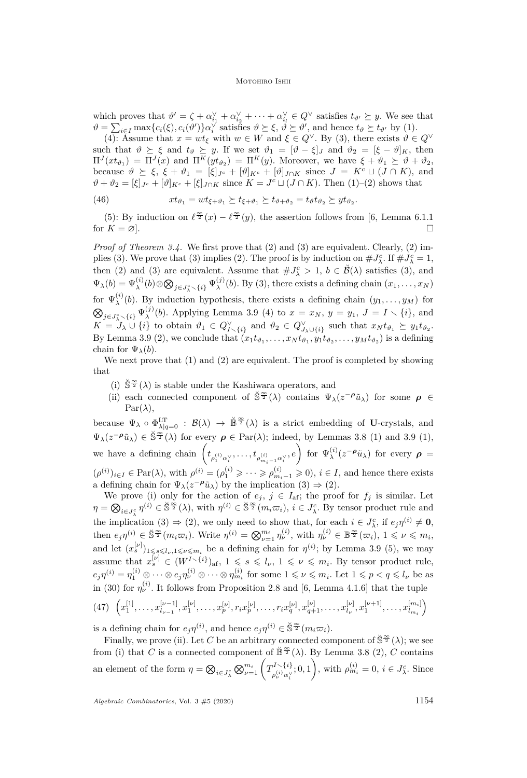#### MOTOHIRO ISHII

which proves that  $\vartheta' = \zeta + \alpha_{i_1}^{\vee} + \alpha_{i_2}^{\vee} + \cdots + \alpha_{i_l}^{\vee} \in Q^{\vee}$  satisfies  $t_{\vartheta'} \succeq y$ . We see that  $\vartheta = \sum_{i \in I} \max\{c_i(\xi), c_i(\vartheta')\} \alpha_i^{\sqrt{i}}$  satisfies  $\vartheta \succeq \xi$ ,  $\vartheta \succeq \vartheta'$ , and hence  $t_{\vartheta} \succeq t_{\vartheta'}$  by [\(1\).](#page-13-2)

[\(4\):](#page-13-5) Assume that  $x = wt_{\xi}$  with  $w \in W$  and  $\xi \in Q^{\vee}$ . By [\(3\),](#page-13-4) there exists  $\vartheta \in Q^{\vee}$ such that  $\vartheta \geq \xi$  and  $t_{\vartheta} \geq y$ . If we set  $\vartheta_1 = [\vartheta - \xi]_J$  and  $\vartheta_2 = [\xi - \vartheta]_K$ , then  $\Pi^{J}(xt_{\vartheta_1}) = \Pi^{J}(x)$  and  $\Pi^{K}(yt_{\vartheta_2}) = \Pi^{K}(y)$ . Moreover, we have  $\xi + \vartheta_1 \succeq \vartheta + \vartheta_2$ , because  $\vartheta \geq \xi$ ,  $\xi + \vartheta_1 = [\xi]_{J^c} + [\vartheta]_{K^c} + [\vartheta]_{J \cap K}$  since  $J = K^c \sqcup (J \cap K)$ , and  $\vartheta + \vartheta_2 = [\xi]_{J^c} + [\vartheta]_{K^c} + [\xi]_{J \cap K}$  since  $K = J^c \sqcup (J \cap K)$ . Then [\(1\)–](#page-13-2)[\(2\)](#page-13-3) shows that

(46) 
$$
xt_{\vartheta_1} = wt_{\xi+\vartheta_1} \succeq t_{\xi+\vartheta_1} \succeq t_{\vartheta+\vartheta_2} = t_{\vartheta}t_{\vartheta_2} \succeq yt_{\vartheta_2}.
$$

[\(5\):](#page-13-6) By induction on  $\ell^{\infty}(x) - \ell^{\infty}(y)$ , the assertion follows from [\[6,](#page-22-3) Lemma 6.1.1] for  $K = \varnothing$ .

*Proof of Theorem [3.4.](#page-12-0)* We first prove that [\(2\)](#page-12-5) and [\(3\)](#page-12-6) are equivalent. Clearly, (2) im-plies [\(3\).](#page-12-6) We prove that [\(3\)](#page-12-6) implies [\(2\).](#page-12-5) The proof is by induction on  $\#J_{\lambda}^c$ . If  $\#J_{\lambda}^c=1$ , then [\(2\)](#page-12-5) and [\(3\)](#page-12-6) are equivalent. Assume that  $\#J_{\lambda}^c > 1$ ,  $b \in \mathcal{B}(\lambda)$  satisfies [\(3\),](#page-12-6) and  $\Psi_{\lambda}(b) = \Psi_{\lambda}^{(i)}(b) \otimes \bigotimes_{j \in J_{\lambda}^c \smallsetminus \{i\}} \Psi_{\lambda}^{(j)}$  $\lambda^{(j)}(b)$ . By [\(3\),](#page-12-6) there exists a defining chain  $(x_1, \ldots, x_N)$ for  $\Psi_{\lambda}^{(i)}$  $\lambda^{(i)}(b)$ . By induction hypothesis, there exists a defining chain  $(y_1, \ldots, y_M)$  for  $\bigotimes_{j \in J_{\lambda}^c \smallsetminus \{i\}} \Psi_{\lambda}^{(j)}$ (*j*)(*b*). Applying Lemma [3.9](#page-13-7) [\(4\)](#page-13-5) to  $x = x_N$ ,  $y = y_1$ ,  $J = I \setminus \{i\}$ , and  $K = \hat{J}_{\lambda} \cup \{i\}$  to obtain  $\vartheta_1 \in Q_{I \setminus \{i\}}^{\vee}$  and  $\vartheta_2 \in Q_{J_{\lambda} \cup \{i\}}^{\vee}$  such that  $x_N t_{\vartheta_1} \succeq y_1 t_{\vartheta_2}$ . By Lemma [3.9](#page-13-7) [\(2\),](#page-13-3) we conclude that  $(x_1 t_{\vartheta_1}, \ldots, x_N t_{\vartheta_1}, y_1 t_{\vartheta_2}, \ldots, y_M t_{\vartheta_2})$  is a defining chain for  $\Psi_{\lambda}(b)$ .

We next prove that  $(1)$  and  $(2)$  are equivalent. The proof is completed by showing that

- <span id="page-14-0"></span>(i)  $\check{S}^{\frac{\infty}{2}}(\lambda)$  is stable under the Kashiwara operators, and
- <span id="page-14-1"></span>(ii) each connected component of  $\check{S}^{\frac{\infty}{2}}(\lambda)$  contains  $\Psi_{\lambda}(z^{-\rho}\tilde{u}_{\lambda})$  for some  $\rho \in$  $Par(\lambda)$ ,

because  $\Psi_{\lambda} \circ \Phi_{\lambda|q=0}^{\text{LT}} : \mathcal{B}(\lambda) \to \mathbb{B}^{\frac{\infty}{2}}(\lambda)$  is a strict embedding of **U**-crystals, and  $\Psi_{\lambda}(z^{-\rho}\tilde{u}_{\lambda}) \in \tilde{\mathbb{S}}^{\frac{\infty}{2}}(\lambda)$  for every  $\rho \in \text{Par}(\lambda)$ ; indeed, by Lemmas [3.8](#page-13-8) [\(1\)](#page-13-0) and [3.9](#page-13-7) [\(1\),](#page-13-2) we have a defining chain  $\left(t_{\rho_1^{(i)}\alpha_i^\vee},\ldots,t_{\rho_{m_i-1}^{(i)}\alpha_i^\vee},e\right)$  for  $\Psi_\lambda^{(i)}$  $\lambda^{(i)}(z^{-\rho}\tilde{u}_{\lambda})$  for every  $\rho =$  $(\rho^{(i)})_{i \in I} \in \text{Par}(\lambda)$ , with  $\rho^{(i)} = (\rho_1^{(i)} \geq \cdots \geq \rho_{m_i-1}^{(i)} \geq 0)$ ,  $i \in I$ , and hence there exists a defining chain for  $\Psi_{\lambda}(z^{-\rho}\tilde{u}_{\lambda})$  by the implication  $(3) \Rightarrow (2)$  $(3) \Rightarrow (2)$ .

We prove [\(i\)](#page-14-0) only for the action of  $e_j$ ,  $j \in I_{af}$ ; the proof for  $f_j$  is similar. Let  $\eta = \bigotimes_{i \in J_{\gamma}^{c}} \eta^{(i)} \in \check{\mathbb{S}}^{\frac{\infty}{2}}(\lambda)$ , with  $\eta^{(i)} \in \check{\mathbb{S}}^{\frac{\infty}{2}}(m_{i}\varpi_{i}), i \in J_{\lambda}^{c}$ . By tensor product rule and the implication [\(3\)](#page-12-6)  $\Rightarrow$  [\(2\),](#page-12-5) we only need to show that, for each  $i \in J_{\lambda}^c$ , if  $e_j \eta^{(i)} \neq \mathbf{0}$ , then  $e_j\eta^{(i)} \in \mathbb{S}^{\frac{\infty}{2}}(m_i\varpi_i)$ . Write  $\eta^{(i)} = \bigotimes_{\nu=1}^{m_i} \eta^{(i)}_{\nu}$ , with  $\eta^{(i)}_{\nu} \in \mathbb{B}^{\frac{\infty}{2}}(\varpi_i)$ ,  $1 \leq \nu \leq m_i$ , and let  $(x_s^{[\nu]})_{1\leqslant s\leqslant l_\nu,1\leqslant \nu\leqslant m_i}$  be a defining chain for  $\eta^{(i)}$ ; by Lemma [3.9](#page-13-7) [\(5\),](#page-13-6) we may assume that  $x_s^{[\nu]} \in (W^{I \setminus \{i\}})_{\text{af}}, 1 \leqslant s \leqslant l_{\nu}, 1 \leqslant \nu \leqslant m_i$ . By tensor product rule,  $e_j\eta^{(i)} = \eta_1^{(i)} \otimes \cdots \otimes e_j\eta_\nu^{(i)} \otimes \cdots \otimes \eta_{m_i}^{(i)}$  for some  $1 \leqslant \nu \leqslant m_i$ . Let  $1 \leqslant p < q \leqslant l_{\nu}$  be as in [\(30\)](#page-9-5) for  $\eta_{\nu}^{(i)}$ . It follows from Proposition [2.8](#page-10-5) and [\[6,](#page-22-3) Lemma 4.1.6] that the tuple

$$
(47) \ \left(x_1^{[1]}, \ldots, x_{l_{\nu-1}}^{[\nu-1]}, x_1^{[\nu]}, \ldots, x_p^{[\nu]}, r_i x_p^{[\nu]}, \ldots, r_i x_q^{[\nu]}, x_{q+1}^{[\nu]}, \ldots, x_{l_{\nu}}^{[\nu]}, x_1^{[\nu+1]}, \ldots, x_{l_{m_i}}^{[m_i]}\right)
$$

is a defining chain for  $e_j \eta^{(i)}$ , and hence  $e_j \eta^{(i)} \in \mathbb{S}^{\frac{\infty}{2}}(m_i \varpi_i)$ .

Finally, we prove [\(ii\).](#page-14-1) Let *C* be an arbitrary connected component of  $\check{S}^{\frac{\infty}{2}}(\lambda)$ ; we see from [\(i\)](#page-14-0) that *C* is a connected component of  $\mathbb{B}^{\infty}(\lambda)$ . By Lemma [3.8](#page-13-8) [\(2\),](#page-13-1) *C* contains an element of the form  $\eta = \bigotimes_{i \in J_{\lambda}^{c}} \bigotimes_{\nu=1}^{m_{i}} \left( T_{\rho_{\nu}^{(i)} \alpha_{\nu}^{V}}^{I \setminus \{i\}} \right)$  $\rho_{\nu}^{(I \setminus \{i\}}, 0, 1)$ , with  $\rho_{m_i}^{(i)} = 0, i \in J_{\lambda}^c$ . Since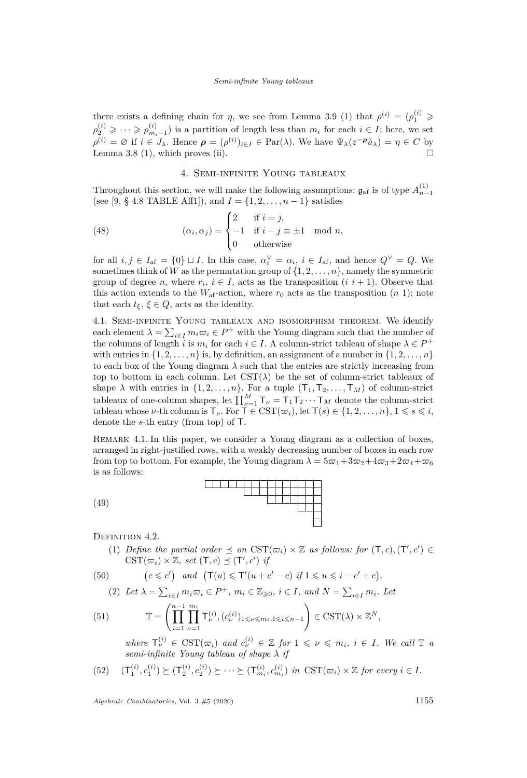there exists a defining chain for *η*, we see from Lemma [3.9](#page-13-7) [\(1\)](#page-13-2) that  $\rho^{(i)} = (\rho_1^{(i)} \geq$  $\rho_2^{(i)} \geqslant \cdots \geqslant \rho_{m_i-1}^{(i)}$ ) is a partition of length less than  $m_i$  for each  $i \in I$ ; here, we set  $\rho^{(i)} = \emptyset$  if  $i \in J_\lambda$ . Hence  $\rho = (\rho^{(i)})_{i \in I} \in \text{Par}(\lambda)$ . We have  $\Psi_\lambda(z^{-\rho}\tilde{u}_\lambda) = \eta \in C$  by Lemma [3.8](#page-13-8)  $(1)$ , which proves  $(ii)$ .

# 4. Semi-infinite Young tableaux

<span id="page-15-5"></span>Throughout this section, we will make the following assumptions:  $\mathfrak{g}_{\text{af}}$  is of type  $A_{n-1}^{(1)}$ (see [\[9,](#page-22-5) § 4.8 TABLE Aff1]), and  $I = \{1, 2, ..., n-1\}$  satisfies

(48) 
$$
(\alpha_i, \alpha_j) = \begin{cases} 2 & \text{if } i = j, \\ -1 & \text{if } i - j \equiv \pm 1 \mod n, \\ 0 & \text{otherwise} \end{cases}
$$

for all  $i, j \in I_{af} = \{0\} \sqcup I$ . In this case,  $\alpha_i^{\vee} = \alpha_i$ ,  $i \in I_{af}$ , and hence  $Q^{\vee} = Q$ . We sometimes think of *W* as the permutation group of  $\{1, 2, \ldots, n\}$ , namely the symmetric group of degree *n*, where  $r_i$ ,  $i \in I$ , acts as the transposition  $(i \; i+1)$ . Observe that this action extends to the  $W_{\text{af}}$ -action, where  $r_0$  acts as the transposition  $(n\ 1)$ ; note that each  $t_{\xi}$ ,  $\xi \in Q$ , acts as the identity.

<span id="page-15-4"></span>4.1. Semi-infinite Young tableaux and isomorphism theorem. We identify each element  $\lambda = \sum_{i \in I} m_i \varpi_i \in P^+$  with the Young diagram such that the number of the columns of length *i* is  $m_i$  for each  $i \in I$ . A column-strict tableau of shape  $\lambda \in P^+$ with entries in  $\{1, 2, \ldots, n\}$  is, by definition, an assignment of a number in  $\{1, 2, \ldots, n\}$ to each box of the Young diagram  $\lambda$  such that the entries are strictly increasing from top to bottom in each column. Let  $\text{CST}(\lambda)$  be the set of column-strict tableaux of shape  $\lambda$  with entries in  $\{1, 2, \ldots, n\}$ . For a tuple  $(T_1, T_2, \ldots, T_M)$  of column-strict tableaux of one-column shapes, let  $\prod_{\nu=1}^{M} \mathsf{T}_{\nu} = \mathsf{T}_{1} \mathsf{T}_{2} \cdots \mathsf{T}_{M}$  denote the column-strict tableau whose *ν*-th column is  $\mathsf{T}_{\nu}$ . For  $\mathsf{T} \in \text{CST}(\varpi_i)$ , let  $\mathsf{T}(s) \in \{1, 2, ..., n\}, 1 \leqslant s \leqslant i$ , denote the *s*-th entry (from top) of T.

<span id="page-15-2"></span>Remark 4.1. In this paper, we consider a Young diagram as a collection of boxes, arranged in right-justified rows, with a weakly decreasing number of boxes in each row from top to bottom. For example, the Young diagram  $\lambda = 5\varpi_1 + 3\varpi_2 + 4\varpi_3 + 2\varpi_4 + \varpi_6$ is as follows:



<span id="page-15-3"></span><span id="page-15-0"></span>DEFINITION 4.2.

(1) *Define the partial order*  $\preceq$  *on*  $\text{CST}(\varpi_i) \times \mathbb{Z}$  *as follows: for*  $(T, c), (T', c') \in$  $\text{CST}(\varpi_i) \times \mathbb{Z}, \text{ set } (\mathsf{T}, c) \preceq (\mathsf{T}', c') \text{ if }$ 

(50) 
$$
(c \leq c') \quad and \quad (\mathsf{T}(u) \leq \mathsf{T}'(u+c'-c) \text{ if } 1 \leq u \leq i-c'+c).
$$

<span id="page-15-1"></span>(2) Let 
$$
\lambda = \sum_{i \in I} m_i \varpi_i \in P^+
$$
,  $m_i \in \mathbb{Z}_{\geq 0}$ ,  $i \in I$ , and  $N = \sum_{i \in I} m_i$ . Let

(51) 
$$
\mathbb{T} = \left( \prod_{i=1}^{n-1} \prod_{\nu=1}^{m_i} \mathsf{T}_{\nu}^{(i)}, (c_{\nu}^{(i)})_{1 \leq \nu \leq m_i, 1 \leq i \leq n-1} \right) \in \text{CST}(\lambda) \times \mathbb{Z}^N,
$$

*where*  $\mathsf{T}_{\nu}^{(i)} \in \text{CST}(\varpi_i)$  and  $c_{\nu}^{(i)} \in \mathbb{Z}$  for  $1 \leq \nu \leq m_i$ ,  $i \in I$ . We call  $\mathbb{T}$  a *semi-infinite Young tableau of shape λ if*

$$
(52) \quad (\mathsf{T}_1^{(i)}, c_1^{(i)}) \succeq (\mathsf{T}_2^{(i)}, c_2^{(i)}) \succeq \cdots \succeq (\mathsf{T}_{m_i}^{(i)}, c_{m_i}^{(i)}) \text{ in } \text{CST}(\varpi_i) \times \mathbb{Z} \text{ for every } i \in I.
$$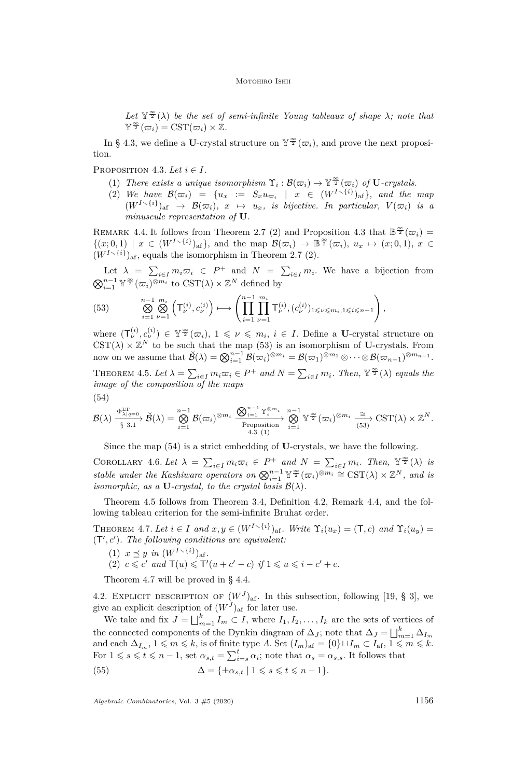Let  $\mathbb{Y}^{\frac{\infty}{2}}(\lambda)$  be the set of semi-infinite Young tableaux of shape  $\lambda$ *;* note that  $\mathbb{Y}^{\frac{\infty}{2}}(\varpi_i) = \mathrm{CST}(\varpi_i) \times \mathbb{Z}.$ 

In § [4.3,](#page-17-0) we define a U-crystal structure on  $\mathbb{Y}^{\frac{\infty}{2}}(\varpi_i)$ , and prove the next proposition.

<span id="page-16-6"></span><span id="page-16-1"></span>PROPOSITION 4.3. Let  $i \in I$ .

- (1) *There exists a unique isomorphism*  $\Upsilon_i : \mathcal{B}(\varpi_i) \to \mathbb{Y}^{\frac{\infty}{2}}(\varpi_i)$  *of* **U***-crystals.*
- <span id="page-16-2"></span>(2) We have  $\mathcal{B}(\varpi_i) = \{u_x := S_x u_{\varpi_i} \mid x \in (W^{I \setminus \{i\}})_{\text{af}}\},\$  and the map  $(W^{I\smallsetminus\{i\}})_{\text{af}} \rightarrow \mathcal{B}(\varpi_i), x \mapsto u_x$ , is bijective. In particular,  $V(\varpi_i)$  is a *minuscule representation of* **U***.*

<span id="page-16-8"></span>REMARK 4.4. It follows from Theorem [2.7](#page-10-3) [\(2\)](#page-10-4) and Proposition [4.3](#page-16-1) that  $\mathbb{B}^{\infty}(\varpi_i)$  =  $\{ (x,0,1) \mid x \in (W^{I\setminus\{i\}})_{\text{af}} \},$  and the map  $\mathcal{B}(\varpi_i) \to \mathbb{B}^{\frac{\infty}{2}}(\varpi_i), u_x \mapsto (x,0,1), x \in$  $(W^{I\smallsetminus\{i\}})_{\text{af}}$ , equals the isomorphism in Theorem [2.7](#page-10-3) [\(2\).](#page-10-4)

Let  $\lambda = \sum_{i \in I} m_i \overline{\omega}_i \in P^+$  and  $N = \sum_{i \in I} m_i$ . We have a bijection from  $\bigotimes_{i=1}^{n-1} \mathbb{Y}^{\frac{\infty}{2}}(\varpi_i)^{\otimes m_i}$  to  $\mathrm{CST}(\lambda) \times \mathbb{Z}^N$  defined by

<span id="page-16-5"></span>
$$
(53) \qquad \bigotimes_{i=1}^{n-1} \bigotimes_{\nu=1}^{m_i} \left( \mathsf{T}_{\nu}^{(i)}, c_{\nu}^{(i)} \right) \longmapsto \left( \prod_{i=1}^{n-1} \prod_{\nu=1}^{m_i} \mathsf{T}_{\nu}^{(i)}, (c_{\nu}^{(i)})_{1 \leqslant \nu \leqslant m_i, 1 \leqslant i \leqslant n-1} \right),
$$

where  $(\mathsf{T}_{\nu}^{(i)}, c_{\nu}^{(i)}) \in \mathbb{Y}^{\frac{\infty}{2}}(\varpi_i), 1 \leqslant \nu \leqslant m_i, i \in I$ . Define a U-crystal structure on  $\text{CST}(\lambda) \times \mathbb{Z}^N$  to be such that the map [\(53\)](#page-16-5) is an isomorphism of **U**-crystals. From now on we assume that  $\breve{\mathcal{B}}(\lambda) = \bigotimes_{i=1}^{n-1} \mathcal{B}(\varpi_i)^{\otimes m_i} = \mathcal{B}(\varpi_1)^{\otimes m_1} \otimes \cdots \otimes \mathcal{B}(\varpi_{n-1})^{\otimes m_{n-1}}$ .

<span id="page-16-3"></span>THEOREM 4.5. Let  $\lambda = \sum_{i \in I} m_i \varpi_i \in P^+$  and  $N = \sum_{i \in I} m_i$ . Then,  $\mathbb{Y}^{\frac{\infty}{2}}(\lambda)$  equals the *image of the composition of the maps*

<span id="page-16-7"></span>
$$
(54)
$$

$$
\mathcal{B}(\lambda) \xrightarrow[\S]{\Phi_{\lambda|q=0}^{\mathrm{LT}}}\check{\mathcal{B}}(\lambda) = \bigotimes_{i=1}^{n-1}\mathcal{B}(\varpi_i)^{\otimes m_i} \xrightarrow[\text{Proposition}]{\Phi_{i=1}^{n-1}\Upsilon_i^{\otimes m_i}}\bigotimes_{i=1}^{n-1}\Upsilon_2^{\infty}(\varpi_i)^{\otimes m_i} \xrightarrow[\text{(53)}]{\cong} \mathrm{CST}(\lambda) \times \mathbb{Z}^N.
$$

Since the map [\(54\)](#page-16-7) is a strict embedding of **U**-crystals, we have the following.

<span id="page-16-4"></span>COROLLARY 4.6. Let  $\lambda = \sum_{i \in I} m_i \varpi_i \in P^+$  and  $N = \sum_{i \in I} m_i$ . Then,  $\mathbb{Y}^{\frac{\infty}{2}}(\lambda)$  is *stable under the Kashiwara operators on*  $\bigotimes_{i=1}^{n-1} \mathbb{Y}^{\frac{\infty}{2}}(\varpi_i)^{\otimes m_i} \cong \mathrm{CST}(\lambda) \times \mathbb{Z}^N$ , and is *isomorphic, as a* **U***-crystal, to the crystal basis*  $\mathcal{B}(\lambda)$ *.* 

Theorem [4.5](#page-16-3) follows from Theorem [3.4,](#page-12-0) Definition [4.2,](#page-15-0) Remark [4.4,](#page-16-8) and the following tableau criterion for the semi-infinite Bruhat order.

<span id="page-16-0"></span>THEOREM 4.7. Let  $i \in I$  and  $x, y \in (W^{I \setminus \{i\}})_{\text{af}}$ . Write  $\Upsilon_i(u_x) = (\mathsf{T}, c)$  and  $\Upsilon_i(u_y) =$  $(T', c')$ . The following conditions are equivalent:

- (1)  $x \leq y$  *in*  $(W^{I \setminus \{i\}})_{\text{af}}$ .
- (2)  $c \leq c'$  and  $\mathsf{T}(u) \leq \mathsf{T}'(u + c' c)$  if  $1 \leq u \leq i c' + c$ .

Theorem [4.7](#page-16-0) will be proved in § [4.4.](#page-19-0)

4.2. EXPLICIT DESCRIPTION OF  $(W^J)_{\text{af}}$ . In this subsection, following [\[19,](#page-23-12) § 3], we give an explicit description of  $(W<sup>J</sup>)<sub>af</sub>$  for later use.

We take and fix  $J = \bigsqcup_{m=1}^{k} I_m \subset I$ , where  $I_1, I_2, \ldots, I_k$  are the sets of vertices of the connected components of the Dynkin diagram of  $\Delta_J$ ; note that  $\Delta_J = \bigsqcup_{m=1}^k \Delta_{I_m}$ and each  $\Delta_{I_m}$ ,  $1 \leq m \leq k$ , is of finite type *A*. Set  $(I_m)_{af} = \{0\} \sqcup I_m \subset I_{af}, 1 \leq m \leq k$ . For  $1 \le s \le t \le n-1$ , set  $\alpha_{s,t} = \sum_{i=s}^{t} \alpha_i$ ; note that  $\alpha_s = \alpha_{s,s}$ . It follows that

<span id="page-16-9"></span>(55) 
$$
\Delta = {\pm \alpha_{s,t} | 1 \leqslant s \leqslant t \leqslant n-1}.
$$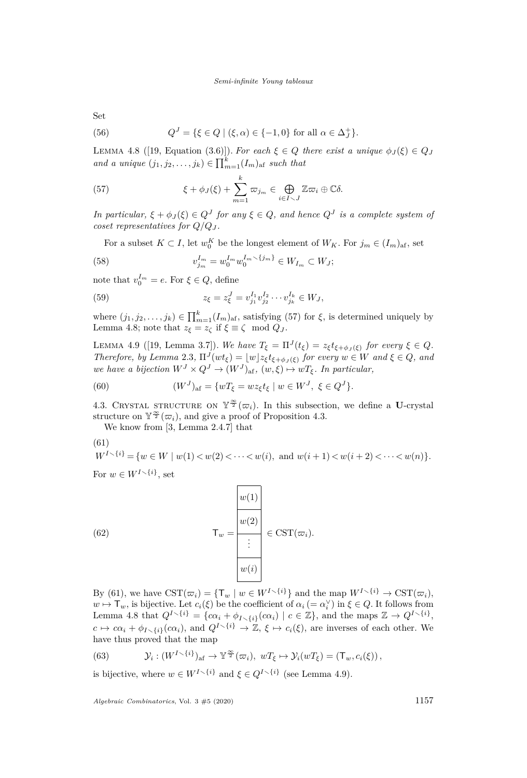Set

(56) 
$$
Q^{J} = \{ \xi \in Q \mid (\xi, \alpha) \in \{-1, 0\} \text{ for all } \alpha \in \Delta_{J}^{+} \}.
$$

<span id="page-17-2"></span>LEMMA 4.8 ([\[19,](#page-23-12) Equation (3.6)]). For each  $\xi \in Q$  there exist a unique  $\phi_J(\xi) \in Q_J$ *and a unique*  $(j_1, j_2, \ldots, j_k) \in \prod_{m=1}^k (I_m)_{\text{af}}$  *such that* 

<span id="page-17-1"></span>(57) 
$$
\xi + \phi_J(\xi) + \sum_{m=1}^k \varpi_{j_m} \in \bigoplus_{i \in I \setminus J} \mathbb{Z} \varpi_i \oplus \mathbb{C} \delta.
$$

*In particular,*  $\xi + \phi_J(\xi) \in Q^J$  *for any*  $\xi \in Q$ *, and hence*  $Q^J$  *is a complete system of coset representatives for*  $Q/Q_J$ .

For a subset  $K \subset I$ , let  $w_0^K$  be the longest element of  $W_K$ . For  $j_m \in (I_m)_{\text{af}}$ , set

(58) 
$$
v_{j_m}^{I_m} = w_0^{I_m} w_0^{I_m \setminus \{j_m\}} \in W_{I_m} \subset W_J;
$$

note that  $v_0^{I_m} = e$ . For  $\xi \in Q$ , define

(59) 
$$
z_{\xi} = z_{\xi}^{J} = v_{j_1}^{I_1} v_{j_2}^{I_2} \cdots v_{j_k}^{I_k} \in W_J,
$$

where  $(j_1, j_2, \ldots, j_k) \in \prod_{m=1}^k (I_m)_{\text{af}}$ , satisfying [\(57\)](#page-17-1) for  $\xi$ , is determined uniquely by Lemma [4.8;](#page-17-2) note that  $z_{\xi} = z_{\zeta}$  if  $\xi \equiv \zeta \mod Q_J$ .

<span id="page-17-4"></span>LEMMA 4.9 ([\[19,](#page-23-12) Lemma 3.7]). We have  $T_{\xi} = \Pi^{J}(t_{\xi}) = z_{\xi}t_{\xi+\phi_{J}(\xi)}$  for every  $\xi \in Q$ . *Therefore, by Lemma* [2.3](#page-8-2),  $\Pi^{J}(wt_{\xi}) = \lfloor w \rfloor z_{\xi} t_{\xi + \phi_{J}(\xi)}$  *for every*  $w \in W$  *and*  $\xi \in Q$ *, and we have a bijection*  $W^J \times Q^J \to (W^J)_{\text{af}}, (w, \xi) \mapsto wT_{\xi}$ . In particular,

(60) 
$$
(W^{J})_{\text{af}} = \{wT_{\xi} = wz_{\xi}t_{\xi} \mid w \in W^{J}, \ \xi \in Q^{J}\}.
$$

<span id="page-17-0"></span>4.3. CRYSTAL STRUCTURE ON  $\mathbb{Y}^{\frac{\infty}{2}}(\varpi_i)$ . In this subsection, we define a U-crystal structure on  $\mathbb{Y}^{\frac{\infty}{2}}(\varpi_i)$ , and give a proof of Proposition [4.3.](#page-16-1)

We know from [\[3,](#page-22-6) Lemma 2.4.7] that

<span id="page-17-3"></span>(61)  

$$
W^{I \setminus \{i\}} = \{w \in W \mid w(1) < w(2) < \cdots < w(i), \text{ and } w(i+1) < w(i+2) < \cdots < w(n)\}.
$$

For  $w \in W^{I \setminus \{i\}}, \text{set}$ 

(62) 
$$
\mathsf{T}_{w} = \frac{\begin{array}{|c|c|} \hline w(1) \\ \hline \hline \vdots \\ \hline \hline \vdots \\ \hline w(i) \end{array}} \in \mathrm{CST}(\varpi_{i}).
$$

By [\(61\)](#page-17-3), we have  $\text{CST}(\varpi_i) = {\mathsf{T}_w \mid w \in W^{I \setminus \{i\}}}$  and the map  $W^{I \setminus \{i\}} \to \text{CST}(\varpi_i)$ ,  $w \mapsto \mathsf{T}_w$ , is bijective. Let  $c_i(\xi)$  be the coefficient of  $\alpha_i = \alpha_i^{\vee}$  in  $\xi \in Q$ . It follows from Lemma [4.8](#page-17-2) that  $Q^{I \setminus \{i\}} = \{c\alpha_i + \phi_{I \setminus \{i\}}(c\alpha_i) \mid c \in \mathbb{Z}\}\)$ , and the maps  $\mathbb{Z} \to Q^{I \setminus \{i\}}\$  $c \mapsto c\alpha_i + \phi_{I \setminus \{i\}}(c\alpha_i)$ , and  $Q^{I \setminus \{i\}} \to \mathbb{Z}, \xi \mapsto c_i(\xi)$ , are inverses of each other. We have thus proved that the map

<span id="page-17-5"></span>(63) 
$$
\mathcal{Y}_i: (W^{I \setminus \{i\}})_{\text{af}} \to \mathbb{Y}^{\frac{\infty}{2}}(\varpi_i), wT_{\xi} \mapsto \mathcal{Y}_i(wT_{\xi}) = (\mathsf{T}_w, c_i(\xi)),
$$

is bijective, where  $w \in W^{I \setminus \{i\}}$  and  $\xi \in Q^{I \setminus \{i\}}$  (see Lemma [4.9\)](#page-17-4).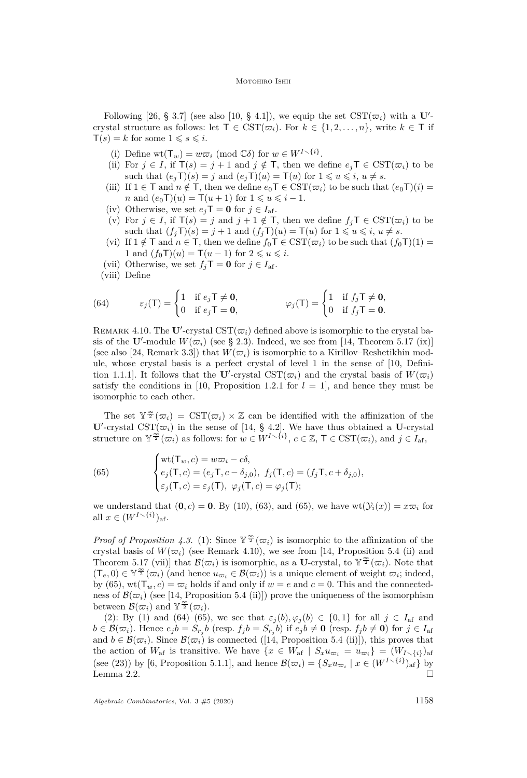#### MOTOHIRO ISHII

Following [\[26,](#page-23-14) § 3.7] (see also [\[10,](#page-23-15) § 4.1]), we equip the set  $\text{CST}(\varpi_i)$  with a **U**'crystal structure as follows: let  $\mathsf{T} \in \text{CST}(\varpi_i)$ . For  $k \in \{1, 2, ..., n\}$ , write  $k \in \mathsf{T}$  if  $T(s) = k$  for some  $1 \le s \le i$ .

- (i) Define  $wt(T_w) = w\overline{\omega}_i \pmod{\mathbb{C}\delta}$  for  $w \in W^{I \setminus \{i\}}$ .
- (ii) For  $j \in I$ , if  $T(s) = j + 1$  and  $j \notin T$ , then we define  $e_jT \in \text{CST}(\varpi_i)$  to be such that  $(e_i \mathsf{T})(s) = j$  and  $(e_i \mathsf{T})(u) = \mathsf{T}(u)$  for  $1 \leq u \leq i, u \neq s$ .
- (iii) If  $1 \in \mathsf{T}$  and  $n \notin \mathsf{T}$ , then we define  $e_0 \mathsf{T} \in \mathrm{CST}(\varpi_i)$  to be such that  $(e_0 \mathsf{T})(i)$  = *n* and  $(e_0T)(u) = T(u+1)$  for  $1 \le u \le i-1$ .
- (iv) Otherwise, we set  $e_i$ **T** = **0** for  $j \in I_{\text{af}}$ .
- (v) For  $j \in I$ , if  $T(s) = j$  and  $j + 1 \notin T$ , then we define  $f_jT \in \text{CST}(\varpi_i)$  to be such that  $(f_i \mathsf{T})(s) = j + 1$  and  $(f_i \mathsf{T})(u) = \mathsf{T}(u)$  for  $1 \leq u \leq i, u \neq s$ .
- (vi) If  $1 \notin \mathsf{T}$  and  $n \in \mathsf{T}$ , then we define  $f_0 \mathsf{T} \in \text{CST}(\varpi_i)$  to be such that  $(f_0 \mathsf{T})(1) =$ 1 and  $(f_0 \mathsf{T})(u) = \mathsf{T}(u-1)$  for  $2 \leq u \leq i$ .
- (vii) Otherwise, we set  $f_j$ **T** = **0** for  $j \in I_{af}$ .
- (viii) Define

<span id="page-18-2"></span>(64) 
$$
\varepsilon_j(\mathsf{T}) = \begin{cases} 1 & \text{if } e_j \mathsf{T} \neq \mathbf{0}, \\ 0 & \text{if } e_j \mathsf{T} = \mathbf{0}, \end{cases} \qquad \qquad \varphi_j(\mathsf{T}) = \begin{cases} 1 & \text{if } f_j \mathsf{T} \neq \mathbf{0}, \\ 0 & \text{if } f_j \mathsf{T} = \mathbf{0}. \end{cases}
$$

<span id="page-18-1"></span>REMARK 4.10. The U'-crystal  $\text{CST}(\varpi_i)$  defined above is isomorphic to the crystal basis of the U'-module  $W(\varpi_i)$  (see § [2.3\)](#page-6-0). Indeed, we see from [\[14,](#page-23-7) Theorem 5.17 (ix)] (see also [\[24,](#page-23-16) Remark 3.3]) that  $W(\varpi_i)$  is isomorphic to a Kirillov–Reshetikhin module, whose crystal basis is a perfect crystal of level 1 in the sense of [\[10,](#page-23-15) Definition 1.1.1]. It follows that the **U**'-crystal CST( $\varpi_i$ ) and the crystal basis of  $W(\varpi_i)$ satisfy the conditions in [\[10,](#page-23-15) Proposition 1.2.1 for  $l = 1$ ], and hence they must be isomorphic to each other.

The set  $\mathbb{Y}^{\frac{\infty}{2}}(\varpi_i) = \mathrm{CST}(\varpi_i) \times \mathbb{Z}$  can be identified with the affinization of the **U**'-crystal CST( $\varpi_i$ ) in the sense of [\[14,](#page-23-7) § 4.2]. We have thus obtained a **U**-crystal structure on  $\mathbb{Y}^{\leq}(\overline{\omega}_i)$  as follows: for  $w \in W^{I \setminus \{i\}}$ ,  $c \in \mathbb{Z}$ ,  $\mathsf{T} \in \mathrm{CST}(\overline{\omega}_i)$ , and  $j \in I_{\mathrm{af}}$ ,

<span id="page-18-0"></span>(65) 
$$
\begin{cases} \operatorname{wt}(\mathsf{T}_w, c) = w\varpi_i - c\delta, \\ e_j(\mathsf{T}, c) = (e_j \mathsf{T}, c - \delta_{j,0}), \\ \varepsilon_j(\mathsf{T}, c) = \varepsilon_j(\mathsf{T}), \ \varphi_j(\mathsf{T}, c) = \varphi_j(\mathsf{T}); \end{cases}
$$

we understand that  $(0, c) = 0$ . By [\(10\)](#page-4-1), [\(63\)](#page-17-5), and [\(65\)](#page-18-0), we have  $wt(\mathcal{Y}_i(x)) = x\varpi_i$  for all  $x \in (W^{I \setminus \{i\}})_{\text{af}}$ .

*Proof of Proposition [4.3.](#page-16-1)* [\(1\):](#page-16-6) Since  $\mathbb{Y}^{\frac{\infty}{2}}(\varpi_i)$  is isomorphic to the affinization of the crystal basis of  $W(\varpi_i)$  (see Remark [4.10\)](#page-18-1), we see from [\[14,](#page-23-7) Proposition 5.4 (ii) and Theorem 5.17 (vii)] that  $\mathcal{B}(\varpi_i)$  is isomorphic, as a **U**-crystal, to  $\mathbb{Y}^{\frac{\infty}{2}}(\varpi_i)$ . Note that  $(T_e, 0) \in \mathbb{Y}^{\frac{\infty}{2}}(\varpi_i)$  (and hence  $u_{\varpi_i} \in \mathcal{B}(\varpi_i)$ ) is a unique element of weight  $\varpi_i$ ; indeed, by [\(65\)](#page-18-0),  $wt(T_w, c) = \varpi_i$  holds if and only if  $w = e$  and  $c = 0$ . This and the connectedness of  $\mathcal{B}(\varpi_i)$  (see [\[14,](#page-23-7) Proposition 5.4 (ii)]) prove the uniqueness of the isomorphism between  $\mathcal{B}(\overline{\omega}_i)$  and  $\mathbb{Y}^{\frac{\infty}{2}}(\overline{\omega}_i)$ .

[\(2\):](#page-16-2) By [\(1\)](#page-16-6) and [\(64\)](#page-18-2)–[\(65\)](#page-18-0), we see that  $\varepsilon_j(b), \varphi_j(b) \in \{0,1\}$  for all  $j \in I_{\text{af}}$  and  $b \in \mathcal{B}(\varpi_i)$ . Hence  $e_jb = S_{r_j}b$  (resp.  $f_jb = S_{r_j}b$ ) if  $e_jb \neq \mathbf{0}$  (resp.  $f_jb \neq \mathbf{0}$ ) for  $j \in I_{\text{af}}$ and  $b \in \mathcal{B}(\varpi_i)$ . Since  $\mathcal{B}(\varpi_i)$  is connected ([\[14,](#page-23-7) Proposition 5.4 (ii)]), this proves that the action of  $W_{\text{af}}$  is transitive. We have  $\{x \in W_{\text{af}} \mid S_x u_{\varpi_i} = u_{\varpi_i}\} = (W_{I \setminus \{i\}})_{\text{af}}$ (see [\(23\)](#page-8-0)) by [\[6,](#page-22-3) Proposition 5.1.1], and hence  $\mathcal{B}(\varpi_i) = \{S_x u_{\varpi_i} \mid x \in (W^{I \setminus \{i\}})_{\text{af}}\}$  by Lemma [2.2.](#page-8-1)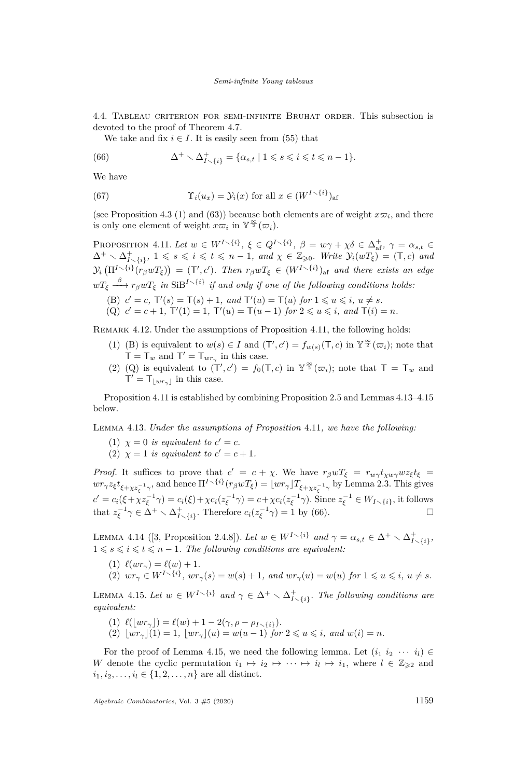<span id="page-19-0"></span>4.4. Tableau criterion for semi-infinite Bruhat order. This subsection is devoted to the proof of Theorem [4.7.](#page-16-0)

We take and fix  $i \in I$ . It is easily seen from [\(55\)](#page-16-9) that

<span id="page-19-6"></span>(66) 
$$
\Delta^+ \setminus \Delta^+_{I \setminus \{i\}} = \{ \alpha_{s,t} \mid 1 \leqslant s \leqslant i \leqslant t \leqslant n-1 \}.
$$

We have

(67) 
$$
\Upsilon_i(u_x) = \mathcal{Y}_i(x) \text{ for all } x \in (W^{I \setminus \{i\}})_{\text{af}}
$$

(see Proposition [4.3](#page-16-1) [\(1\)](#page-16-6) and [\(63\)](#page-17-5)) because both elements are of weight  $x\varpi_i$ , and there is only one element of weight  $x\overline{\omega}_i$  in  $\mathbb{Y}^{\frac{\infty}{2}}(\overline{\omega}_i)$ .

<span id="page-19-1"></span>PROPOSITION 4.11. Let  $w \in W^{I \setminus \{i\}}$ ,  $\xi \in Q^{I \setminus \{i\}}$ ,  $\beta = w\gamma + \chi\delta \in \Delta_{\text{af}}^{+}$ ,  $\gamma = \alpha_{s,t} \in$  $\Delta^+ \setminus \Delta^+_{I \setminus \{i\}}, 1 \leqslant s \leqslant i \leqslant t \leqslant n-1$ , and  $\chi \in \mathbb{Z}_{\geqslant 0}$ . Write  $\mathcal{Y}_i(wT_{\xi}) = (\mathsf{T}, c)$  and  $\mathcal{Y}_i\left(\Pi^{I\smallsetminus\{i\}}(r_\beta w T_\xi)\right) = (\mathsf{T}',c').$  Then  $r_\beta w T_\xi \in (W^{I\smallsetminus\{i\}})_{\text{af}}$  and there exists an edge  $wT_{\xi} \stackrel{\beta}{\longrightarrow} r_{\beta}wT_{\xi}$  *in* SiB<sup>I</sup><sup> $\setminus$ {*i*}</sub> *if and only if one of the following conditions holds:*</sup>

<span id="page-19-3"></span><span id="page-19-2"></span>(B)  $c' = c$ ,  $T'(s) = T(s) + 1$ , and  $T'(u) = T(u)$  for  $1 \leq u \leq i$ ,  $u \neq s$ . (Q)  $c' = c + 1$ ,  $T'(1) = 1$ ,  $T'(u) = T(u - 1)$  for  $2 \le u \le i$ , and  $T(i) = n$ .

REMARK 4.12. Under the assumptions of Proposition [4.11,](#page-19-1) the following holds:

- (1) [\(B\)](#page-19-2) is equivalent to  $w(s) \in I$  and  $(T', c') = f_{w(s)}(T, c)$  in  $\mathbb{Y}^{\frac{\infty}{2}}(\varpi_i)$ ; note that  $T = T_w$  and  $T' = T_{wr_{\gamma}}$  in this case.
- (2) [\(Q\)](#page-19-3) is equivalent to  $(T', c') = f_0(T, c)$  in  $Y^{\frac{\infty}{2}}(\varpi_i)$ ; note that  $T = T_w$  and  $T' = T_{\lfloor wr_{\gamma}\rfloor}$  in this case.

Proposition [4.11](#page-19-1) is established by combining Proposition [2.5](#page-8-5) and Lemmas [4.13](#page-19-4)[–4.15](#page-19-5) below.

<span id="page-19-4"></span>Lemma 4.13. *Under the assumptions of Proposition* [4.11](#page-19-1)*, we have the following:*

- (1)  $\chi = 0$  *is equivalent to*  $c' = c$ *.*
- (2)  $\chi = 1$  *is equivalent to*  $c' = c + 1$ *.*

*Proof.* It suffices to prove that  $c' = c + \chi$ . We have  $r_\beta w T_\xi = r_{w\gamma} t_{\chi w\gamma} w z_\xi t_\xi$  $wr_{\gamma}z_{\xi}t_{\xi+\chi z_{\xi}^{-1}\gamma}$ , and hence  $\Pi^{I\setminus\{i\}}(r_{\beta}wT_{\xi})=\lfloor wr_{\gamma}\rfloor T_{\xi+\chi z_{\xi}^{-1}\gamma}$  by Lemma [2.3.](#page-8-2) This gives  $c' = c_i(\xi + \chi z_{\xi}^{-1}\gamma) = c_i(\xi) + \chi c_i(z_{\xi}^{-1}\gamma) = c + \chi c_i(z_{\xi}^{-1}\gamma)$ . Since  $z_{\xi}^{-1} \in W_{I \setminus \{i\}}$ , it follows that  $z_{\xi}^{-1}\gamma \in \Delta^+ \setminus \Delta^+_{I \setminus \{i\}}$ . Therefore  $c_i(z_{\xi}^{-1}\gamma) = 1$  by [\(66\)](#page-19-6).

LEMMA 4.14 ([\[3,](#page-22-6) Proposition 2.4.8]). Let  $w \in W^{I \setminus \{i\}}$  and  $\gamma = \alpha_{s,t} \in \Delta^+ \setminus \Delta^+_{I \setminus \{i\}},$  $1 \leq s \leq i \leq t \leq n-1$ . The following conditions are equivalent:

 $(1) \ell(wr_{\gamma}) = \ell(w) + 1.$ (2)  $wr_{\gamma} \in W^{I \setminus \{i\}}, wr_{\gamma}(s) = w(s) + 1$ , and  $wr_{\gamma}(u) = w(u)$  for  $1 \leq u \leq i$ ,  $u \neq s$ .

<span id="page-19-5"></span>LEMMA 4.15. Let  $w \in W^{I \setminus \{i\}}$  and  $\gamma \in \Delta^+ \setminus \Delta^+_{I \setminus \{i\}}$ . The following conditions are *equivalent:*

- <span id="page-19-7"></span>(1)  $\ell(\lfloor wr_{\gamma} \rfloor) = \ell(w) + 1 - 2(\gamma, \rho - \rho_{I \setminus \{i\}}).$
- <span id="page-19-8"></span> $\lim_{x \to a}$   $\lim_{x \to a}$   $\lim_{x \to a}$   $\lim_{x \to a}$   $\lim_{x \to a}$   $\lim_{x \to a}$   $\lim_{x \to a}$   $\lim_{x \to a}$   $\lim_{x \to a}$   $\lim_{x \to a}$   $\lim_{x \to a}$   $\lim_{x \to a}$   $\lim_{x \to a}$   $\lim_{x \to a}$   $\lim_{x \to a}$   $\lim_{x \to a}$   $\lim_{x \to a}$   $\lim_{x \to a}$   $\lim_{x \to a}$   $\lim_{x \to a}$

For the proof of Lemma [4.15,](#page-19-5) we need the following lemma. Let  $(i_1 i_2 \cdots i_l) \in$ *W* denote the cyclic permutation  $i_1 \mapsto i_2 \mapsto \cdots \mapsto i_l \mapsto i_1$ , where  $l \in \mathbb{Z}_{\geqslant 2}$  and  $i_1, i_2, \ldots, i_l \in \{1, 2, \ldots, n\}$  are all distinct.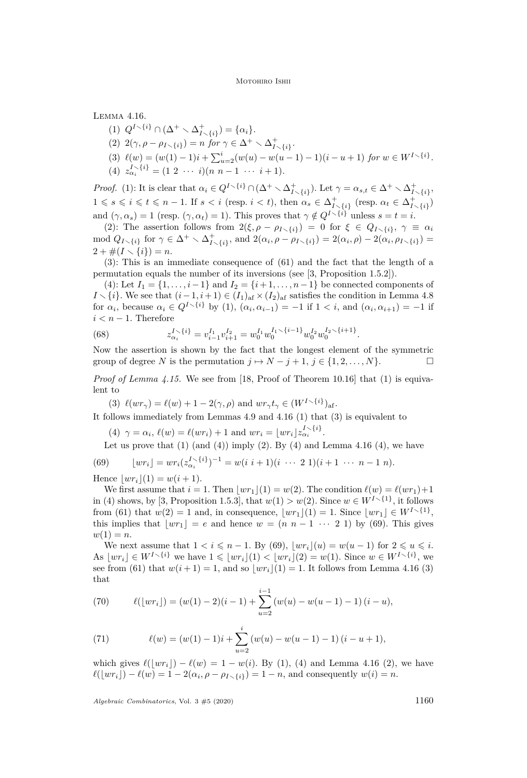<span id="page-20-4"></span><span id="page-20-0"></span>Lemma 4.16.

- (1)  $Q^{I \setminus \{i\}} \cap (\Delta^+ \setminus \Delta^+_{I \setminus \{i\}}) = \{\alpha_i\}.$
- <span id="page-20-1"></span>(2)  $2(\gamma, \rho - \rho_{I \setminus \{i\}}) = n \text{ for } \gamma \in \Delta^+ \setminus \Delta^+_{I \setminus \{i\}}.$
- <span id="page-20-2"></span> $(3) \ell(w) = (w(1) - 1)i + \sum_{u=2}^{i} (w(u) - w(u-1) - 1)(i - u + 1)$  for  $w \in W^{I \setminus \{i\}}$ .
- <span id="page-20-3"></span> $\overline{a}^{i} = (1 \ 2 \ \cdots \ i)(n \ n-1 \ \cdots \ i+1).$

*Proof.* [\(1\):](#page-20-0) It is clear that  $\alpha_i \in Q^{I \setminus \{i\}} \cap (\Delta^+ \setminus \Delta^+_{I \setminus \{i\}})$ . Let  $\gamma = \alpha_{s,t} \in \Delta^+ \setminus \Delta^+_{I \setminus \{i\}},$  $1 \le s \le i \le t \le n-1$ . If  $s < i$  (resp.  $i < t$ ), then  $\alpha_s \in \Delta^+_{I \setminus \{i\}}$  (resp.  $\alpha_t \in \Delta^+_{I \setminus \{i\}}$ ) and  $(\gamma, \alpha_s) = 1$  (resp.  $(\gamma, \alpha_t) = 1$ ). This proves that  $\gamma \notin Q^{I \setminus \{i\}}$  unless  $s = t = i$ .

[\(2\):](#page-20-1) The assertion follows from  $2(\xi, \rho - \rho_{I \setminus \{i\}}) = 0$  for  $\xi \in Q_{I \setminus \{i\}}, \gamma \equiv \alpha_i$ mod  $Q_{I \setminus \{i\}}$  for  $\gamma \in \Delta^+ \setminus \Delta^+_{I \setminus \{i\}}$ , and  $2(\alpha_i, \rho - \rho_{I \setminus \{i\}}) = 2(\alpha_i, \rho) - 2(\alpha_i, \rho_{I \setminus \{i\}}) =$  $2 + \#(I \setminus \{i\}) = n.$ 

[\(3\):](#page-20-2) This is an immediate consequence of [\(61\)](#page-17-3) and the fact that the length of a permutation equals the number of its inversions (see [\[3,](#page-22-6) Proposition 1.5.2]).

[\(4\):](#page-20-3) Let  $I_1 = \{1, ..., i-1\}$  and  $I_2 = \{i+1, ..., n-1\}$  be connected components of *I*  $\setminus$  {*i*}. We see that  $(i-1, i+1) \in (I_1)_{af} \times (I_2)_{af}$  satisfies the condition in Lemma [4.8](#page-17-2) for  $\alpha_i$ , because  $\alpha_i \in Q^{I \setminus \{i\}}$  by [\(1\),](#page-20-0)  $(\alpha_i, \alpha_{i-1}) = -1$  if  $1 < i$ , and  $(\alpha_i, \alpha_{i+1}) = -1$  if  $i < n - 1$ . Therefore

(68) 
$$
z_{\alpha_i}^{I \setminus \{i\}} = v_{i-1}^{I_1} v_{i+1}^{I_2} = w_0^{I_1} w_0^{I_1 \setminus \{i-1\}} w_0^{I_2} w_0^{I_2 \setminus \{i+1\}}.
$$

Now the assertion is shown by the fact that the longest element of the symmetric group of degree *N* is the permutation  $j \mapsto N - j + 1, j \in \{1, 2, ..., N\}$ .

*Proof of Lemma [4.15.](#page-19-5)* We see from [\[18,](#page-23-10) Proof of Theorem 10.16] that [\(1\)](#page-19-7) is equivalent to

<span id="page-20-5"></span>(3)  $\ell(wr_{\gamma}) = \ell(w) + 1 - 2(\gamma, \rho)$  and  $wr_{\gamma} t_{\gamma} \in (W^{I \setminus \{i\}})_{\text{af}}$ .

<span id="page-20-6"></span>It follows immediately from Lemmas [4.9](#page-17-4) and [4.16](#page-20-4) [\(1\)](#page-20-0) that [\(3\)](#page-20-5) is equivalent to

(4)  $\gamma = \alpha_i$ ,  $\ell(w) = \ell(wr_i) + 1$  and  $wr_i = \lfloor wr_i \rfloor z_{\alpha_i}^{I \setminus \{i\}}$ .

Let us prove that  $(1)$  (and  $(4)$ ) imply  $(2)$ . By  $(4)$  and Lemma [4.16](#page-20-4)  $(4)$ , we have

<span id="page-20-7"></span>(69) 
$$
\lfloor wr_i \rfloor = wr_i(z_{\alpha_i}^{I\setminus\{i\}})^{-1} = w(i \ i+1)(i \ \cdots \ 2 \ 1)(i+1 \ \cdots \ n-1 \ n).
$$

Hence  $|wr_i|(1) = w(i + 1)$ .

We first assume that  $i = 1$ . Then  $|wr_1|(1) = w(2)$ . The condition  $\ell(w) = \ell(wr_1)+1$ in [\(4\)](#page-20-6) shows, by [\[3,](#page-22-6) Proposition 1.5.3], that  $w(1) > w(2)$ . Since  $w \in W^{I \setminus \{1\}}$ , it follows from [\(61\)](#page-17-3) that  $w(2) = 1$  and, in consequence,  $\lfloor wr_1 \rfloor(1) = 1$ . Since  $\lfloor wr_1 \rfloor \in W^{I \setminus \{1\}}$ , this implies that  $\lfloor wr_1 \rfloor = e$  and hence  $w = (n \ n - 1 \ \cdots \ 2 \ 1)$  by [\(69\)](#page-20-7). This gives  $w(1) = n$ .

We next assume that  $1 < i \leq n - 1$ . By [\(69\)](#page-20-7),  $|wr_i|(u) = w(u - 1)$  for  $2 \leq u \leq i$ . As  $\{wr_i\} \in W^{I \setminus \{i\}}$  we have  $1 \leq \lfloor wr_i \rfloor(1) < \lfloor wr_i \rfloor(2) = w(1)$ . Since  $w \in W^{I \setminus \{i\}}$ , we see from [\(61\)](#page-17-3) that  $w(i+1) = 1$ , and so  $|wr_i|(1) = 1$ . It follows from Lemma [4.16](#page-20-4) [\(3\)](#page-20-2) that

(70) 
$$
\ell(\lfloor wr_i\rfloor) = (w(1)-2)(i-1) + \sum_{u=2}^{i-1} (w(u) - w(u-1) - 1)(i-u),
$$

(71) 
$$
\ell(w) = (w(1) - 1)i + \sum_{u=2}^{i} (w(u) - w(u-1) - 1) (i - u + 1),
$$

which gives  $\ell(|wr_i|) - \ell(w) = 1 - w(i)$ . By [\(1\),](#page-19-7) [\(4\)](#page-20-6) and Lemma [4.16](#page-20-4) [\(2\),](#page-20-1) we have  $\ell(\lfloor wr_i \rfloor) - \ell(w) = 1 - 2(\alpha_i, \rho - \rho_{I \setminus \{i\}}) = 1 - n$ , and consequently  $w(i) = n$ .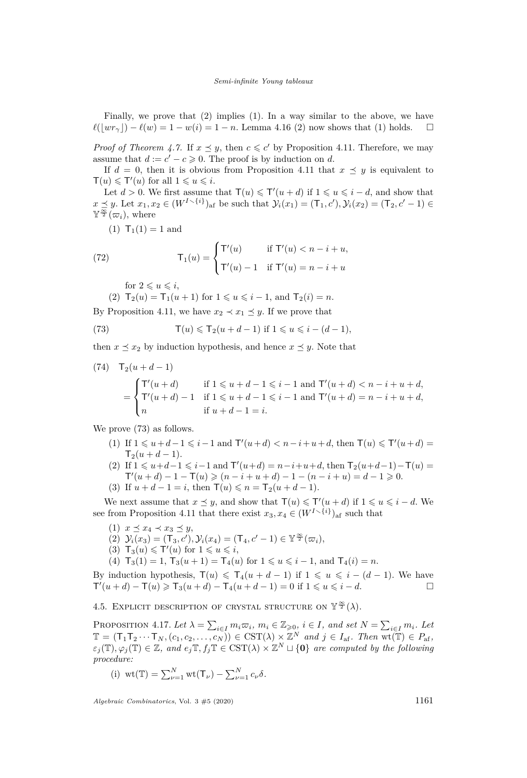Finally, we prove that [\(2\)](#page-19-8) implies [\(1\).](#page-19-7) In a way similar to the above, we have  $\ell(|wr_{\gamma}|) - \ell(w) = 1 - w(i) = 1 - n$ . Lemma [4.16](#page-20-4) [\(2\)](#page-20-1) now shows that [\(1\)](#page-19-7) holds.  $\square$ 

*Proof of Theorem [4.7.](#page-16-0)* If  $x \leq y$ , then  $c \leq c'$  by Proposition [4.11.](#page-19-1) Therefore, we may assume that  $d := c' - c \geq 0$ . The proof is by induction on *d*.

If  $d = 0$ , then it is obvious from Proposition [4.11](#page-19-1) that  $x \preceq y$  is equivalent to  $\mathsf{T}(u) \leq \mathsf{T}'(u)$  for all  $1 \leq u \leq i$ .

Let  $d > 0$ . We first assume that  $\mathsf{T}(u) \leq \mathsf{T}'(u + d)$  if  $1 \leq u \leq i - d$ , and show that  $x \leq y$ . Let  $x_1, x_2 \in (W^{I \setminus \{i\}})$ <sub>af</sub> be such that  $\mathcal{Y}_i(x_1) = (\mathsf{T}_1, c'), \mathcal{Y}_i(x_2) = (\mathsf{T}_2, c' - 1) \in$  $\mathbb{Y}^{\frac{\infty}{2}}(\overline{\omega}_i)$ , where

(1)  $T_1(1) = 1$  and

(72) 
$$
\mathsf{T}_1(u) = \begin{cases} \mathsf{T}'(u) & \text{if } \mathsf{T}'(u) < n - i + u, \\ \mathsf{T}'(u) - 1 & \text{if } \mathsf{T}'(u) = n - i + u \end{cases}
$$

for  $2 \leq u \leq i$ ,

(2)  $T_2(u) = T_1(u+1)$  for  $1 \leq u \leq i-1$ , and  $T_2(i) = n$ .

By Proposition [4.11,](#page-19-1) we have  $x_2 \prec x_1 \preceq y$ . If we prove that

<span id="page-21-1"></span>(73) 
$$
\mathsf{T}(u) \leqslant \mathsf{T}_2(u+d-1) \text{ if } 1 \leqslant u \leqslant i-(d-1),
$$

then  $x \leq x_2$  by induction hypothesis, and hence  $x \leq y$ . Note that

(74) 
$$
\mathsf{T}_2(u+d-1)
$$
  
= 
$$
\begin{cases} \mathsf{T}'(u+d) & \text{if } 1 \leq u+d-1 \leq i-1 \text{ and } \mathsf{T}'(u+d) < n-i+u+d, \\ \mathsf{T}'(u+d) - 1 & \text{if } 1 \leq u+d-1 \leq i-1 \text{ and } \mathsf{T}'(u+d) = n-i+u+d, \\ n & \text{if } u+d-1 = i. \end{cases}
$$

We prove [\(73\)](#page-21-1) as follows.

- (1) If  $1 \le u + d 1 \le i 1$  and  $T'(u + d) < n i + u + d$ , then  $T(u) \le T'(u + d)$  $\mathsf{T}_2(u+d-1)$ .
- (2) If  $1 \le u + d 1 \le i 1$  and  $T'(u + d) = n i + u + d$ , then  $T_2(u + d 1) T(u) =$  $T'(u+d) - 1 - T(u) \geqslant (n-i+u+d) - 1 - (n-i+u) = d-1 \geqslant 0.$
- (3) If  $u + d 1 = i$ , then  $\mathsf{T}(u) \leq n = \mathsf{T}_2(u + d 1)$ .

We next assume that  $x \leq y$ , and show that  $\mathsf{T}(u) \leq \mathsf{T}'(u + d)$  if  $1 \leq u \leq i - d$ . We see from Proposition [4.11](#page-19-1) that there exist  $x_3, x_4 \in (W^{I \setminus \{i\}})_{\text{af}}$  such that

- $(1)$   $x \preceq x_4 \prec x_3 \preceq y$ ,
- $(2)$   $\mathcal{Y}_i(x_3) = (\mathsf{T}_3, c'), \mathcal{Y}_i(x_4) = (\mathsf{T}_4, c' 1) \in \mathbb{Y}^{\frac{\infty}{2}}(\varpi_i),$
- $(3)$   $\mathsf{T}_3(u) \leq \mathsf{T}'(u)$  for  $1 \leq u \leq i$ ,
- (4)  $T_3(1) = 1$ ,  $T_3(u+1) = T_4(u)$  for  $1 \leq u \leq i-1$ , and  $T_4(i) = n$ .

By induction hypothesis,  $T(u) \leq T_4(u + d - 1)$  if  $1 \leq u \leq i - (d - 1)$ . We have  $T'(u+d) - T(u) \geq T_3(u+d) - T_4(u+d-1) = 0$  if  $1 \leq u \leq i-d$ .

4.5. EXPLICIT DESCRIPTION OF CRYSTAL STRUCTURE ON  $\mathbb{Y}^{\frac{\infty}{2}}(\lambda)$ .

<span id="page-21-0"></span>PROPOSITION 4.17. Let  $\lambda = \sum_{i \in I} m_i \varpi_i$ ,  $m_i \in \mathbb{Z}_{\geqslant 0}$ ,  $i \in I$ , and set  $N = \sum_{i \in I} m_i$ . Let  $\mathbb{T} = (\mathsf{T}_1 \mathsf{T}_2 \cdots \mathsf{T}_N, (c_1, c_2, \ldots, c_N)) \in \mathrm{CST}(\lambda) \times \mathbb{Z}^N$  and  $j \in I_{\mathrm{af}}$ . Then  $\mathrm{wt}(\mathbb{T}) \in P_{\mathrm{af}}$ ,  $\varepsilon_j(\mathbb{T}), \varphi_j(\mathbb{T}) \in \mathbb{Z}$ *, and*  $e_j \mathbb{T}, f_j \mathbb{T} \in \mathrm{CST}(\lambda) \times \mathbb{Z}^N \sqcup \{0\}$  *are computed by the following procedure:*

(i) wt(T) = 
$$
\sum_{\nu=1}^{N} \text{wt}(\mathsf{T}_{\nu}) - \sum_{\nu=1}^{N} c_{\nu} \delta
$$
.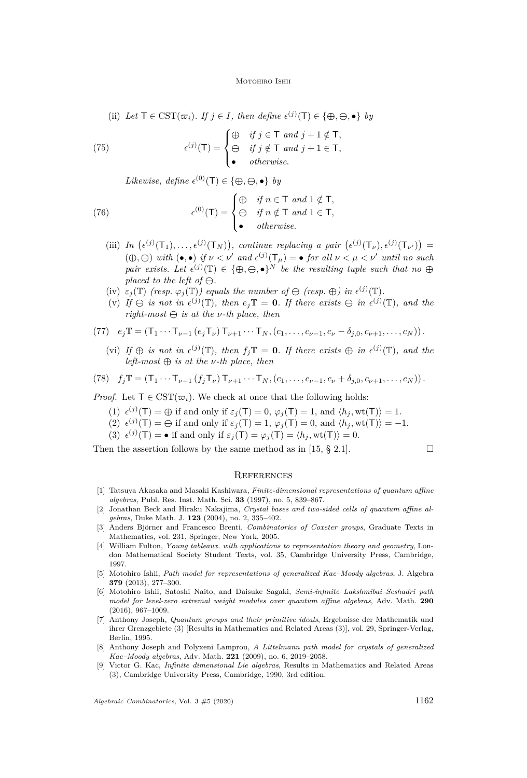(ii) Let  $\mathsf{T} \in \mathrm{CST}(\varpi_i)$ . If  $j \in I$ , then define  $\epsilon^{(j)}(\mathsf{T}) \in \{\oplus, \ominus, \bullet\}$  by

(75) 
$$
\epsilon^{(j)}(\mathsf{T}) = \begin{cases} \oplus & \text{if } j \in \mathsf{T} \text{ and } j+1 \notin \mathsf{T}, \\ \ominus & \text{if } j \notin \mathsf{T} \text{ and } j+1 \in \mathsf{T}, \\ \bullet & \text{otherwise.} \end{cases}
$$

*Likewise, define*  $\epsilon^{(0)}(\mathsf{T}) \in \{\oplus, \ominus, \bullet\}$  *by* 

(76) 
$$
\epsilon^{(0)}(\mathsf{T}) = \begin{cases} \bigoplus_{i \in \mathsf{T}} & \text{if } n \in \mathsf{T} \text{ and } 1 \notin \mathsf{T}, \\ \bigoplus_{i \in \mathsf{T}} & \text{if } n \notin \mathsf{T} \text{ and } 1 \in \mathsf{T}, \\ \bullet & \text{otherwise.} \end{cases}
$$

- (iii) In  $(\epsilon^{(j)}(T_1), \ldots, \epsilon^{(j)}(T_N))$ , continue replacing a pair  $(\epsilon^{(j)}(T_\nu), \epsilon^{(j)}(T_{\nu'}))$  =  $(\bigoplus, \bigoplus)$  with  $(\bullet, \bullet)$  if  $\nu < \nu'$  and  $\epsilon^{(j)}(\mathsf{T}_{\mu}) = \bullet$  for all  $\nu < \mu < \nu'$  until no such *pair exists.* Let  $\epsilon^{(j)}(\mathbb{T}) \in \{\oplus, \Theta, \bullet\}^N$  be the resulting tuple such that no  $\oplus$ *placed to the left of*  $\ominus$ .
- (iv)  $\varepsilon_j(\mathbb{T})$  (resp.  $\varphi_j(\mathbb{T})$ ) equals the number of  $\ominus$  (resp.  $\oplus$ ) in  $\epsilon^{(j)}(\mathbb{T})$ .
- (v) If  $\ominus$  is not in  $\epsilon^{(j)}(\mathbb{T})$ , then  $e_j \mathbb{T} = \mathbf{0}$ . If there exists  $\ominus$  in  $\epsilon^{(j)}(\mathbb{T})$ , and the  $right-most \oplus is at the v-th place, then$

(77) 
$$
e_j \mathbb{T} = (\mathsf{T}_1 \cdots \mathsf{T}_{\nu-1} (e_j \mathsf{T}_{\nu}) \mathsf{T}_{\nu+1} \cdots \mathsf{T}_N, (c_1, \ldots, c_{\nu-1}, c_{\nu} - \delta_{j,0}, c_{\nu+1}, \ldots, c_N)).
$$

(vi) If  $\oplus$  *is not in*  $\epsilon^{(j)}(\mathbb{T})$ *, then*  $f_j \mathbb{T} = \mathbf{0}$ *. If there exists*  $\oplus$  *in*  $\epsilon^{(j)}(\mathbb{T})$ *, and the left-most* **⊕** *is at the ν-th place, then*

(78) 
$$
f_j \mathbb{T} = (\mathsf{T}_1 \cdots \mathsf{T}_{\nu-1} (f_j \mathsf{T}_{\nu}) \mathsf{T}_{\nu+1} \cdots \mathsf{T}_N, (c_1, \ldots, c_{\nu-1}, c_{\nu} + \delta_{j,0}, c_{\nu+1}, \ldots, c_N)).
$$

*Proof.* Let  $\mathsf{T} \in \text{CST}(\varpi_i)$ . We check at once that the following holds:

- (1)  $\epsilon^{(j)}(\mathsf{T}) = \bigoplus$  if and only if  $\varepsilon_j(\mathsf{T}) = 0$ ,  $\varphi_j(\mathsf{T}) = 1$ , and  $\langle h_j, \text{wt}(\mathsf{T}) \rangle = 1$ .
- (2)  $\epsilon^{(j)}(\mathsf{T}) = \Theta$  if and only if  $\varepsilon_j(\mathsf{T}) = 1$ ,  $\varphi_j(\mathsf{T}) = 0$ , and  $\langle h_j, \text{wt}(\mathsf{T}) \rangle = -1$ .
- (3)  $\epsilon^{(j)}(T) = \bullet$  if and only if  $\epsilon_j(T) = \varphi_j(T) = \langle h_j, \text{wt}(T) \rangle = 0.$

Then the assertion follows by the same method as in [\[15,](#page-23-5)  $\S$  2.1].

# **REFERENCES**

- <span id="page-22-8"></span>[1] Tatsuya Akasaka and Masaki Kashiwara, *Finite-dimensional representations of quantum affine algebras*, Publ. Res. Inst. Math. Sci. **33** (1997), no. 5, 839–867.
- <span id="page-22-7"></span>[2] Jonathan Beck and Hiraku Nakajima, *Crystal bases and two-sided cells of quantum affine algebras*, Duke Math. J. **123** (2004), no. 2, 335–402.
- <span id="page-22-6"></span>[3] Anders Björner and Francesco Brenti, *Combinatorics of Coxeter groups*, Graduate Texts in Mathematics, vol. 231, Springer, New York, 2005.
- <span id="page-22-4"></span>[4] William Fulton, *Young tableaux. with applications to representation theory and geometry*, London Mathematical Society Student Texts, vol. 35, Cambridge University Press, Cambridge, 1997.
- <span id="page-22-1"></span>[5] Motohiro Ishii, *Path model for representations of generalized Kac–Moody algebras*, J. Algebra **379** (2013), 277–300.
- <span id="page-22-3"></span>[6] Motohiro Ishii, Satoshi Naito, and Daisuke Sagaki, *Semi-infinite Lakshmibai–Seshadri path model for level-zero extremal weight modules over quantum affine algebras*, Adv. Math. **290** (2016), 967–1009.
- <span id="page-22-0"></span>[7] Anthony Joseph, *Quantum groups and their primitive ideals*, Ergebnisse der Mathematik und ihrer Grenzgebiete (3) [Results in Mathematics and Related Areas (3)], vol. 29, Springer-Verlag, Berlin, 1995.
- <span id="page-22-2"></span>[8] Anthony Joseph and Polyxeni Lamprou, *A Littelmann path model for crystals of generalized Kac–Moody algebras*, Adv. Math. **221** (2009), no. 6, 2019–2058.
- <span id="page-22-5"></span>[9] Victor G. Kac, *Infinite dimensional Lie algebras*, Results in Mathematics and Related Areas (3), Cambridge University Press, Cambridge, 1990, 3rd edition.